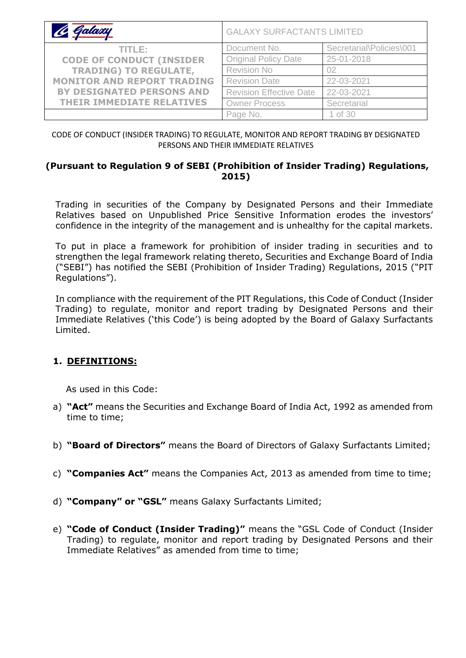| le Galaxy                         | <b>GALAXY SURFACTANTS LIMITED</b> |                          |
|-----------------------------------|-----------------------------------|--------------------------|
| TITLE:                            | Document No.                      | Secretarial\Policies\001 |
| <b>CODE OF CONDUCT (INSIDER</b>   | <b>Original Policy Date</b>       | 25-01-2018               |
| <b>TRADING) TO REGULATE,</b>      | <b>Revision No</b>                | 02                       |
| <b>MONITOR AND REPORT TRADING</b> | <b>Revision Date</b>              | 22-03-2021               |
| <b>BY DESIGNATED PERSONS AND</b>  | <b>Revision Effective Date</b>    | 22-03-2021               |
| <b>THEIR IMMEDIATE RELATIVES</b>  | <b>Owner Process</b>              | Secretarial              |
|                                   | Page No.                          | 1 of 30                  |

CODE OF CONDUCT (INSIDER TRADING) TO REGULATE, MONITOR AND REPORT TRADING BY DESIGNATED PERSONS AND THEIR IMMEDIATE RELATIVES

#### **(Pursuant to Regulation 9 of SEBI (Prohibition of Insider Trading) Regulations, 2015)**

Trading in securities of the Company by Designated Persons and their Immediate Relatives based on Unpublished Price Sensitive Information erodes the investors' confidence in the integrity of the management and is unhealthy for the capital markets.

To put in place a framework for prohibition of insider trading in securities and to strengthen the legal framework relating thereto, Securities and Exchange Board of India ("SEBI") has notified the SEBI (Prohibition of Insider Trading) Regulations, 2015 ("PIT Regulations").

In compliance with the requirement of the PIT Regulations, this Code of Conduct (Insider Trading) to regulate, monitor and report trading by Designated Persons and their Immediate Relatives ('this Code') is being adopted by the Board of Galaxy Surfactants Limited.

### **1. DEFINITIONS:**

As used in this Code:

- a) **"Act"** means the Securities and Exchange Board of India Act, 1992 as amended from time to time;
- b) **"Board of Directors"** means the Board of Directors of Galaxy Surfactants Limited;
- c) **"Companies Act"** means the Companies Act, 2013 as amended from time to time;
- d) **"Company" or "GSL"** means Galaxy Surfactants Limited;
- e) **"Code of Conduct (Insider Trading)"** means the "GSL Code of Conduct (Insider Trading) to regulate, monitor and report trading by Designated Persons and their Immediate Relatives" as amended from time to time;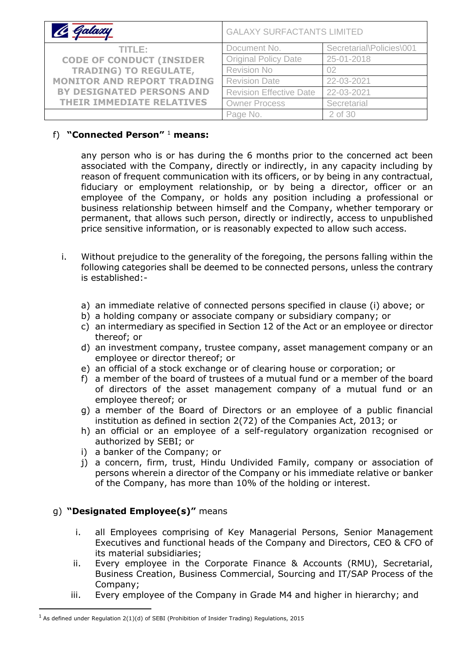| C Galaxy                          | <b>GALAXY SURFACTANTS LIMITED</b> |                          |
|-----------------------------------|-----------------------------------|--------------------------|
| TITLE:                            | Document No.                      | Secretarial\Policies\001 |
| <b>CODE OF CONDUCT (INSIDER</b>   | <b>Original Policy Date</b>       | 25-01-2018               |
| <b>TRADING) TO REGULATE,</b>      | Revision No                       | 02                       |
| <b>MONITOR AND REPORT TRADING</b> | <b>Revision Date</b>              | 22-03-2021               |
| <b>BY DESIGNATED PERSONS AND</b>  | <b>Revision Effective Date</b>    | 22-03-2021               |
| <b>THEIR IMMEDIATE RELATIVES</b>  | <b>Owner Process</b>              | Secretarial              |
|                                   | Page No.                          | 2 of 30                  |

### f) **"Connected Person"** <sup>1</sup> **means:**

any person who is or has during the 6 months prior to the concerned act been associated with the Company, directly or indirectly, in any capacity including by reason of frequent communication with its officers, or by being in any contractual, fiduciary or employment relationship, or by being a director, officer or an employee of the Company, or holds any position including a professional or business relationship between himself and the Company, whether temporary or permanent, that allows such person, directly or indirectly, access to unpublished price sensitive information, or is reasonably expected to allow such access.

- i. Without prejudice to the generality of the foregoing, the persons falling within the following categories shall be deemed to be connected persons, unless the contrary is established:
	- a) an immediate relative of connected persons specified in clause (i) above; or
	- b) a holding company or associate company or subsidiary company; or
	- c) an intermediary as specified in Section 12 of the Act or an employee or director thereof; or
	- d) an investment company, trustee company, asset management company or an employee or director thereof; or
	- e) an official of a stock exchange or of clearing house or corporation; or
	- f) a member of the board of trustees of a mutual fund or a member of the board of directors of the asset management company of a mutual fund or an employee thereof; or
	- g) a member of the Board of Directors or an employee of a public financial institution as defined in section 2(72) of the Companies Act, 2013; or
	- h) an official or an employee of a self-regulatory organization recognised or authorized by SEBI; or
	- i) a banker of the Company; or
	- j) a concern, firm, trust, Hindu Undivided Family, company or association of persons wherein a director of the Company or his immediate relative or banker of the Company, has more than 10% of the holding or interest.

#### g) **"Designated Employee(s)"** means

- i. all Employees comprising of Key Managerial Persons, Senior Management Executives and functional heads of the Company and Directors, CEO & CFO of its material subsidiaries;
- ii. Every employee in the Corporate Finance & Accounts (RMU), Secretarial, Business Creation, Business Commercial, Sourcing and IT/SAP Process of the Company;
- iii. Every employee of the Company in Grade M4 and higher in hierarchy; and

 $<sup>1</sup>$  As defined under Regulation 2(1)(d) of SEBI (Prohibition of Insider Trading) Regulations, 2015</sup>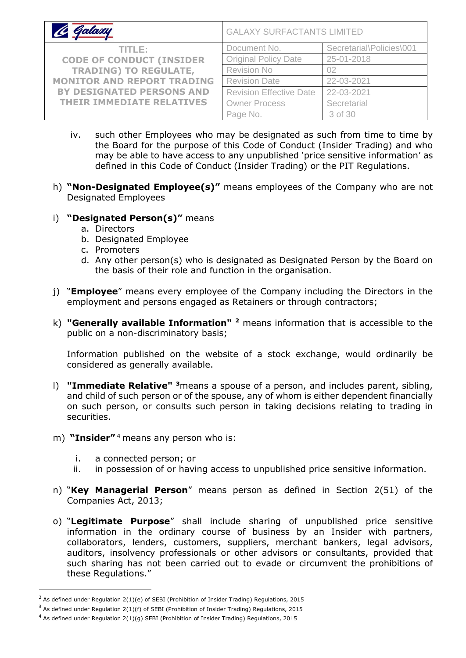| Ce Galaxy                         | <b>GALAXY SURFACTANTS LIMITED</b> |                          |
|-----------------------------------|-----------------------------------|--------------------------|
| TITLE:                            | Document No.                      | Secretarial\Policies\001 |
| <b>CODE OF CONDUCT (INSIDER</b>   | <b>Original Policy Date</b>       | 25-01-2018               |
| <b>TRADING) TO REGULATE,</b>      | Revision No                       | 02                       |
| <b>MONITOR AND REPORT TRADING</b> | <b>Revision Date</b>              | 22-03-2021               |
| <b>BY DESIGNATED PERSONS AND</b>  | <b>Revision Effective Date</b>    | 22-03-2021               |
| <b>THEIR IMMEDIATE RELATIVES</b>  | <b>Owner Process</b>              | Secretarial              |
|                                   | Page No.                          | 3 of 30                  |

- iv. such other Employees who may be designated as such from time to time by the Board for the purpose of this Code of Conduct (Insider Trading) and who may be able to have access to any unpublished 'price sensitive information' as defined in this Code of Conduct (Insider Trading) or the PIT Regulations.
- h) **"Non-Designated Employee(s)"** means employees of the Company who are not Designated Employees

#### i) **"Designated Person(s)"** means

- a. Directors
- b. Designated Employee
- c. Promoters
- d. Any other person(s) who is designated as Designated Person by the Board on the basis of their role and function in the organisation.
- j) "**Employee**" means every employee of the Company including the Directors in the employment and persons engaged as Retainers or through contractors;
- k) **"Generally available Information" <sup>2</sup>** means information that is accessible to the public on a non-discriminatory basis;

Information published on the website of a stock exchange, would ordinarily be considered as generally available.

- l) **"Immediate Relative" <sup>3</sup>**means a spouse of a person, and includes parent, sibling, and child of such person or of the spouse, any of whom is either dependent financially on such person, or consults such person in taking decisions relating to trading in securities.
- m) **"Insider"** <sup>4</sup> means any person who is:
	- i. a connected person; or
	- ii. in possession of or having access to unpublished price sensitive information.
- n) "**Key Managerial Person**" means person as defined in Section 2(51) of the Companies Act, 2013;
- o) "**Legitimate Purpose**" shall include sharing of unpublished price sensitive information in the ordinary course of business by an Insider with partners, collaborators, lenders, customers, suppliers, merchant bankers, legal advisors, auditors, insolvency professionals or other advisors or consultants, provided that such sharing has not been carried out to evade or circumvent the prohibitions of these Regulations."

<sup>&</sup>lt;sup>2</sup> As defined under Regulation 2(1)(e) of SEBI (Prohibition of Insider Trading) Regulations, 2015

 $3$  As defined under Regulation 2(1)(f) of SEBI (Prohibition of Insider Trading) Regulations, 2015

 $4$  As defined under Regulation 2(1)(g) SEBI (Prohibition of Insider Trading) Regulations, 2015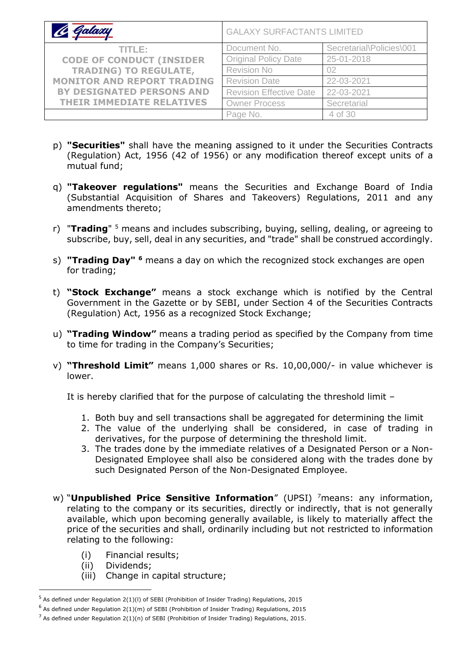| C Galaxy                          | <b>GALAXY SURFACTANTS LIMITED</b> |                          |
|-----------------------------------|-----------------------------------|--------------------------|
| TITLE:                            | Document No.                      | Secretarial\Policies\001 |
| <b>CODE OF CONDUCT (INSIDER</b>   | <b>Original Policy Date</b>       | 25-01-2018               |
| <b>TRADING) TO REGULATE,</b>      | Revision No                       | 02                       |
| <b>MONITOR AND REPORT TRADING</b> | <b>Revision Date</b>              | 22-03-2021               |
| <b>BY DESIGNATED PERSONS AND</b>  | <b>Revision Effective Date</b>    | 22-03-2021               |
| <b>THEIR IMMEDIATE RELATIVES</b>  | <b>Owner Process</b>              | Secretarial              |
|                                   | Page No.                          | 4 of 30                  |

- p) **"Securities"** shall have the meaning assigned to it under the Securities Contracts (Regulation) Act, 1956 (42 of 1956) or any modification thereof except units of a mutual fund;
- q) **"Takeover regulations"** means the Securities and Exchange Board of India (Substantial Acquisition of Shares and Takeovers) Regulations, 2011 and any amendments thereto;
- r) "**Trading**" <sup>5</sup> means and includes subscribing, buying, selling, dealing, or agreeing to subscribe, buy, sell, deal in any securities, and "trade" shall be construed accordingly.
- s) **"Trading Day" <sup>6</sup>** means a day on which the recognized stock exchanges are open for trading;
- t) **"Stock Exchange"** means a stock exchange which is notified by the Central Government in the Gazette or by SEBI, under Section 4 of the Securities Contracts (Regulation) Act, 1956 as a recognized Stock Exchange;
- u) **"Trading Window"** means a trading period as specified by the Company from time to time for trading in the Company's Securities;
- v) **"Threshold Limit"** means 1,000 shares or Rs. 10,00,000/- in value whichever is lower.

It is hereby clarified that for the purpose of calculating the threshold limit –

- 1. Both buy and sell transactions shall be aggregated for determining the limit
- 2. The value of the underlying shall be considered, in case of trading in derivatives, for the purpose of determining the threshold limit.
- 3. The trades done by the immediate relatives of a Designated Person or a Non-Designated Employee shall also be considered along with the trades done by such Designated Person of the Non-Designated Employee.
- w) "**Unpublished Price Sensitive Information**" (UPSI) <sup>7</sup>means: any information, relating to the company or its securities, directly or indirectly, that is not generally available, which upon becoming generally available, is likely to materially affect the price of the securities and shall, ordinarily including but not restricted to information relating to the following:
	- (i) Financial results;
	- (ii) Dividends;
	- (iii) Change in capital structure;

 $<sup>5</sup>$  As defined under Regulation 2(1)(I) of SEBI (Prohibition of Insider Trading) Regulations, 2015</sup>

 $6$  As defined under Regulation 2(1)(m) of SEBI (Prohibition of Insider Trading) Regulations, 2015

<sup>&</sup>lt;sup>7</sup> As defined under Regulation 2(1)(n) of SEBI (Prohibition of Insider Trading) Regulations, 2015.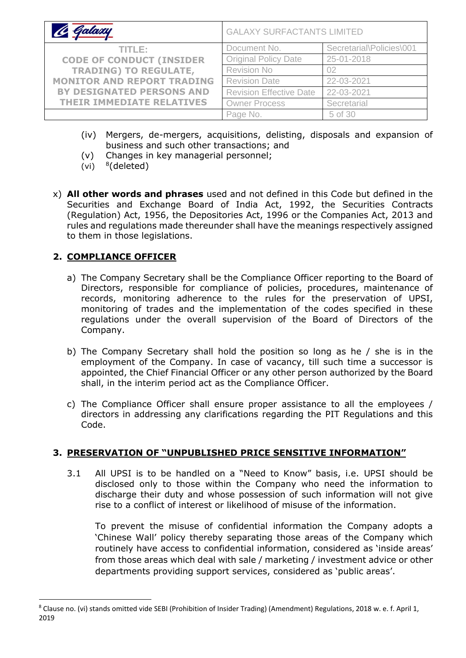| Galaxy                            | <b>GALAXY SURFACTANTS LIMITED</b> |                          |
|-----------------------------------|-----------------------------------|--------------------------|
| TITLE:                            | Document No.                      | Secretarial\Policies\001 |
| <b>CODE OF CONDUCT (INSIDER</b>   | <b>Original Policy Date</b>       | 25-01-2018               |
| <b>TRADING) TO REGULATE,</b>      | Revision No                       | 02                       |
| <b>MONITOR AND REPORT TRADING</b> | <b>Revision Date</b>              | 22-03-2021               |
| <b>BY DESIGNATED PERSONS AND</b>  | <b>Revision Effective Date</b>    | 22-03-2021               |
| THEIR IMMEDIATE RELATIVES         | <b>Owner Process</b>              | Secretarial              |
|                                   | Page No.                          | 5 of 30                  |

- (iv) Mergers, de-mergers, acquisitions, delisting, disposals and expansion of business and such other transactions; and
- (v) Changes in key managerial personnel;
- (vi)  $8$  (deleted)
- x) **All other words and phrases** used and not defined in this Code but defined in the Securities and Exchange Board of India Act, 1992, the Securities Contracts (Regulation) Act, 1956, the Depositories Act, 1996 or the Companies Act, 2013 and rules and regulations made thereunder shall have the meanings respectively assigned to them in those legislations.

## **2. COMPLIANCE OFFICER**

- a) The Company Secretary shall be the Compliance Officer reporting to the Board of Directors, responsible for compliance of policies, procedures, maintenance of records, monitoring adherence to the rules for the preservation of UPSI, monitoring of trades and the implementation of the codes specified in these regulations under the overall supervision of the Board of Directors of the Company.
- b) The Company Secretary shall hold the position so long as he / she is in the employment of the Company. In case of vacancy, till such time a successor is appointed, the Chief Financial Officer or any other person authorized by the Board shall, in the interim period act as the Compliance Officer.
- c) The Compliance Officer shall ensure proper assistance to all the employees / directors in addressing any clarifications regarding the PIT Regulations and this Code.

## **3. PRESERVATION OF "UNPUBLISHED PRICE SENSITIVE INFORMATION"**

3.1 All UPSI is to be handled on a "Need to Know" basis, i.e. UPSI should be disclosed only to those within the Company who need the information to discharge their duty and whose possession of such information will not give rise to a conflict of interest or likelihood of misuse of the information.

To prevent the misuse of confidential information the Company adopts a 'Chinese Wall' policy thereby separating those areas of the Company which routinely have access to confidential information, considered as 'inside areas' from those areas which deal with sale / marketing / investment advice or other departments providing support services, considered as 'public areas'.

<sup>8</sup> Clause no. (vi) stands omitted vide SEBI (Prohibition of Insider Trading) (Amendment) Regulations, 2018 w. e. f. April 1, 2019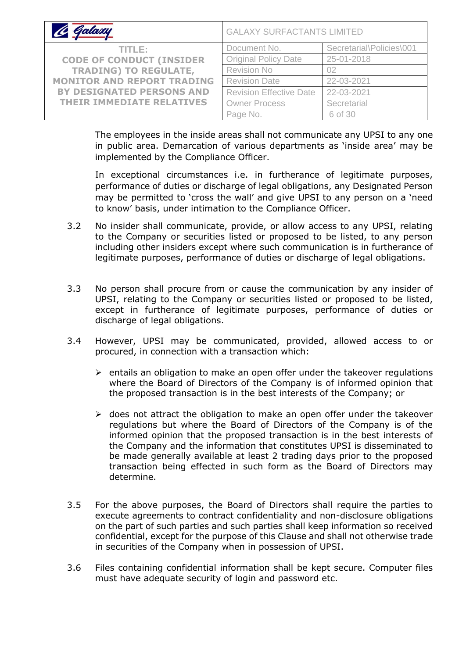| <i>Galaxy</i>                     | <b>GALAXY SURFACTANTS LIMITED</b> |                          |
|-----------------------------------|-----------------------------------|--------------------------|
| TITLE:                            | Document No.                      | Secretarial\Policies\001 |
| <b>CODE OF CONDUCT (INSIDER</b>   | <b>Original Policy Date</b>       | 25-01-2018               |
| <b>TRADING) TO REGULATE,</b>      | <b>Revision No</b>                | 02                       |
| <b>MONITOR AND REPORT TRADING</b> | <b>Revision Date</b>              | 22-03-2021               |
| <b>BY DESIGNATED PERSONS AND</b>  | <b>Revision Effective Date</b>    | 22-03-2021               |
| THEIR IMMEDIATE RELATIVES         | <b>Owner Process</b>              | Secretarial              |
|                                   | Page No.                          | 6 of 30                  |

The employees in the inside areas shall not communicate any UPSI to any one in public area. Demarcation of various departments as 'inside area' may be implemented by the Compliance Officer.

In exceptional circumstances i.e. in furtherance of legitimate purposes, performance of duties or discharge of legal obligations, any Designated Person may be permitted to 'cross the wall' and give UPSI to any person on a 'need to know' basis, under intimation to the Compliance Officer.

- 3.2 No insider shall communicate, provide, or allow access to any UPSI, relating to the Company or securities listed or proposed to be listed, to any person including other insiders except where such communication is in furtherance of legitimate purposes, performance of duties or discharge of legal obligations.
- 3.3 No person shall procure from or cause the communication by any insider of UPSI, relating to the Company or securities listed or proposed to be listed, except in furtherance of legitimate purposes, performance of duties or discharge of legal obligations.
- 3.4 However, UPSI may be communicated, provided, allowed access to or procured, in connection with a transaction which:
	- $\triangleright$  entails an obligation to make an open offer under the takeover regulations where the Board of Directors of the Company is of informed opinion that the proposed transaction is in the best interests of the Company; or
	- $\triangleright$  does not attract the obligation to make an open offer under the takeover regulations but where the Board of Directors of the Company is of the informed opinion that the proposed transaction is in the best interests of the Company and the information that constitutes UPSI is disseminated to be made generally available at least 2 trading days prior to the proposed transaction being effected in such form as the Board of Directors may determine.
- 3.5 For the above purposes, the Board of Directors shall require the parties to execute agreements to contract confidentiality and non-disclosure obligations on the part of such parties and such parties shall keep information so received confidential, except for the purpose of this Clause and shall not otherwise trade in securities of the Company when in possession of UPSI.
- 3.6 Files containing confidential information shall be kept secure. Computer files must have adequate security of login and password etc.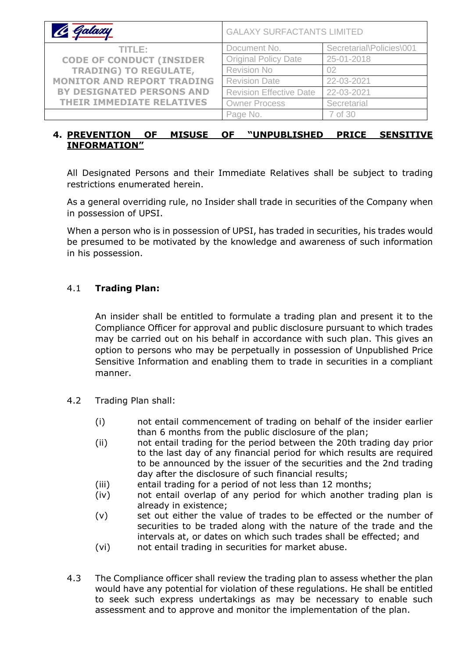| Galaxy                            | <b>GALAXY SURFACTANTS LIMITED</b> |                          |
|-----------------------------------|-----------------------------------|--------------------------|
| TITLE:                            | Document No.                      | Secretarial\Policies\001 |
| <b>CODE OF CONDUCT (INSIDER</b>   | <b>Original Policy Date</b>       | 25-01-2018               |
| <b>TRADING) TO REGULATE,</b>      | Revision No                       | 02                       |
| <b>MONITOR AND REPORT TRADING</b> | <b>Revision Date</b>              | 22-03-2021               |
| <b>BY DESIGNATED PERSONS AND</b>  | <b>Revision Effective Date</b>    | 22-03-2021               |
| <b>THEIR IMMEDIATE RELATIVES</b>  | <b>Owner Process</b>              | Secretarial              |
|                                   | Page No.                          | 7 of 30                  |

### **4. PREVENTION OF MISUSE OF "UNPUBLISHED PRICE SENSITIVE INFORMATION"**

All Designated Persons and their Immediate Relatives shall be subject to trading restrictions enumerated herein.

As a general overriding rule, no Insider shall trade in securities of the Company when in possession of UPSI.

When a person who is in possession of UPSI, has traded in securities, his trades would be presumed to be motivated by the knowledge and awareness of such information in his possession.

### 4.1 **Trading Plan:**

An insider shall be entitled to formulate a trading plan and present it to the Compliance Officer for approval and public disclosure pursuant to which trades may be carried out on his behalf in accordance with such plan. This gives an option to persons who may be perpetually in possession of Unpublished Price Sensitive Information and enabling them to trade in securities in a compliant manner.

- 4.2 Trading Plan shall:
	- (i) not entail commencement of trading on behalf of the insider earlier than 6 months from the public disclosure of the plan;
	- (ii) not entail trading for the period between the 20th trading day prior to the last day of any financial period for which results are required to be announced by the issuer of the securities and the 2nd trading day after the disclosure of such financial results;
	- (iii) entail trading for a period of not less than 12 months;
	- (iv) not entail overlap of any period for which another trading plan is already in existence;
	- (v) set out either the value of trades to be effected or the number of securities to be traded along with the nature of the trade and the intervals at, or dates on which such trades shall be effected; and
	- (vi) not entail trading in securities for market abuse.
- 4.3 The Compliance officer shall review the trading plan to assess whether the plan would have any potential for violation of these regulations. He shall be entitled to seek such express undertakings as may be necessary to enable such assessment and to approve and monitor the implementation of the plan.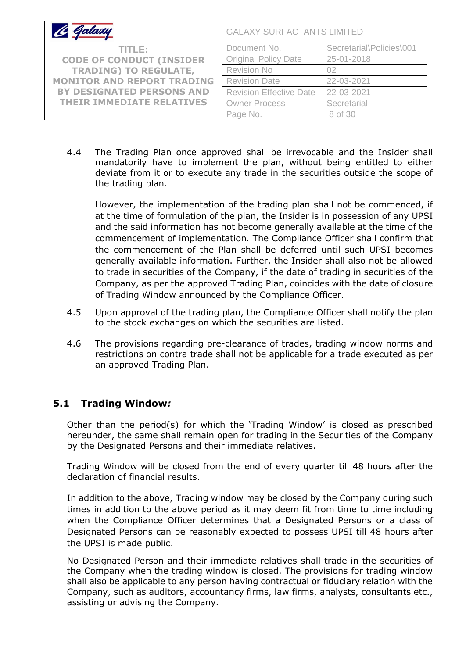| C Galaxy                          | <b>GALAXY SURFACTANTS LIMITED</b> |                          |
|-----------------------------------|-----------------------------------|--------------------------|
| TITLE:                            | Document No.                      | Secretarial\Policies\001 |
| <b>CODE OF CONDUCT (INSIDER</b>   | <b>Original Policy Date</b>       | 25-01-2018               |
| <b>TRADING) TO REGULATE,</b>      | Revision No                       | 02                       |
| <b>MONITOR AND REPORT TRADING</b> | <b>Revision Date</b>              | 22-03-2021               |
| <b>BY DESIGNATED PERSONS AND</b>  | <b>Revision Effective Date</b>    | 22-03-2021               |
| <b>THEIR IMMEDIATE RELATIVES</b>  | <b>Owner Process</b>              | Secretarial              |
|                                   | Page No.                          | 8 of 30                  |

4.4 The Trading Plan once approved shall be irrevocable and the Insider shall mandatorily have to implement the plan, without being entitled to either deviate from it or to execute any trade in the securities outside the scope of the trading plan.

However, the implementation of the trading plan shall not be commenced, if at the time of formulation of the plan, the Insider is in possession of any UPSI and the said information has not become generally available at the time of the commencement of implementation. The Compliance Officer shall confirm that the commencement of the Plan shall be deferred until such UPSI becomes generally available information. Further, the Insider shall also not be allowed to trade in securities of the Company, if the date of trading in securities of the Company, as per the approved Trading Plan, coincides with the date of closure of Trading Window announced by the Compliance Officer.

- 4.5 Upon approval of the trading plan, the Compliance Officer shall notify the plan to the stock exchanges on which the securities are listed.
- 4.6 The provisions regarding pre-clearance of trades, trading window norms and restrictions on contra trade shall not be applicable for a trade executed as per an approved Trading Plan.

### **5.1 Trading Window***:*

Other than the period(s) for which the 'Trading Window' is closed as prescribed hereunder, the same shall remain open for trading in the Securities of the Company by the Designated Persons and their immediate relatives.

Trading Window will be closed from the end of every quarter till 48 hours after the declaration of financial results.

In addition to the above, Trading window may be closed by the Company during such times in addition to the above period as it may deem fit from time to time including when the Compliance Officer determines that a Designated Persons or a class of Designated Persons can be reasonably expected to possess UPSI till 48 hours after the UPSI is made public.

No Designated Person and their immediate relatives shall trade in the securities of the Company when the trading window is closed. The provisions for trading window shall also be applicable to any person having contractual or fiduciary relation with the Company, such as auditors, accountancy firms, law firms, analysts, consultants etc., assisting or advising the Company.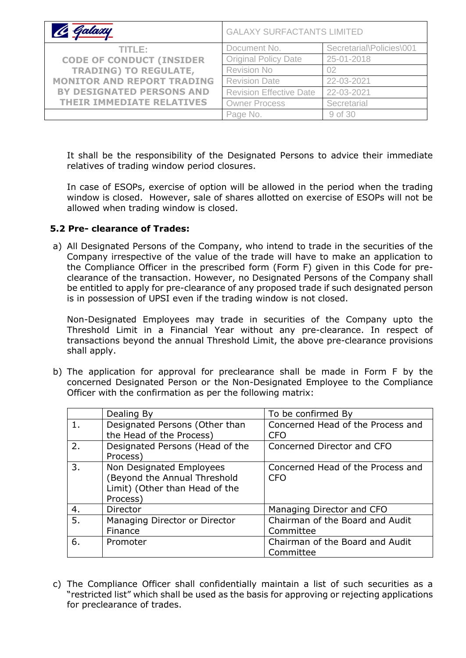| 4 Galaxy                          | <b>GALAXY SURFACTANTS LIMITED</b> |                          |
|-----------------------------------|-----------------------------------|--------------------------|
| TITLE: I                          | Document No.                      | Secretarial\Policies\001 |
| <b>CODE OF CONDUCT (INSIDER</b>   | <b>Original Policy Date</b>       | 25-01-2018               |
| <b>TRADING) TO REGULATE,</b>      | Revision No                       | 02                       |
| <b>MONITOR AND REPORT TRADING</b> | <b>Revision Date</b>              | 22-03-2021               |
| <b>BY DESIGNATED PERSONS AND</b>  | <b>Revision Effective Date</b>    | 22-03-2021               |
| <b>THEIR IMMEDIATE RELATIVES</b>  | <b>Owner Process</b>              | Secretarial              |
|                                   | Page No.                          | 9 of 30                  |

It shall be the responsibility of the Designated Persons to advice their immediate relatives of trading window period closures.

In case of ESOPs, exercise of option will be allowed in the period when the trading window is closed. However, sale of shares allotted on exercise of ESOPs will not be allowed when trading window is closed.

### **5.2 Pre- clearance of Trades:**

a) All Designated Persons of the Company, who intend to trade in the securities of the Company irrespective of the value of the trade will have to make an application to the Compliance Officer in the prescribed form (Form F) given in this Code for preclearance of the transaction. However, no Designated Persons of the Company shall be entitled to apply for pre-clearance of any proposed trade if such designated person is in possession of UPSI even if the trading window is not closed.

Non-Designated Employees may trade in securities of the Company upto the Threshold Limit in a Financial Year without any pre-clearance. In respect of transactions beyond the annual Threshold Limit, the above pre-clearance provisions shall apply.

b) The application for approval for preclearance shall be made in Form F by the concerned Designated Person or the Non-Designated Employee to the Compliance Officer with the confirmation as per the following matrix:

|    | Dealing By                      | To be confirmed By                |
|----|---------------------------------|-----------------------------------|
| 1. | Designated Persons (Other than  | Concerned Head of the Process and |
|    | the Head of the Process)        | <b>CFO</b>                        |
| 2. | Designated Persons (Head of the | Concerned Director and CFO        |
|    | Process)                        |                                   |
| 3. | Non Designated Employees        | Concerned Head of the Process and |
|    | (Beyond the Annual Threshold    | <b>CFO</b>                        |
|    | Limit) (Other than Head of the  |                                   |
|    | Process)                        |                                   |
| 4. | Director                        | Managing Director and CFO         |
| 5. | Managing Director or Director   | Chairman of the Board and Audit   |
|    | Finance                         | Committee                         |
| 6. | Promoter                        | Chairman of the Board and Audit   |
|    |                                 | Committee                         |

c) The Compliance Officer shall confidentially maintain a list of such securities as a "restricted list" which shall be used as the basis for approving or rejecting applications for preclearance of trades.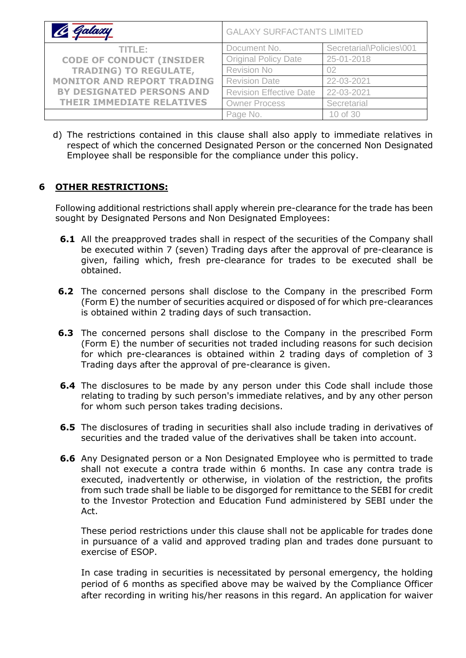| le Galaxy                         | <b>GALAXY SURFACTANTS LIMITED</b> |                          |
|-----------------------------------|-----------------------------------|--------------------------|
| TITLE:                            | Document No.                      | Secretarial\Policies\001 |
| <b>CODE OF CONDUCT (INSIDER</b>   | <b>Original Policy Date</b>       | 25-01-2018               |
| <b>TRADING) TO REGULATE,</b>      | <b>Revision No</b>                | 02                       |
| <b>MONITOR AND REPORT TRADING</b> | <b>Revision Date</b>              | 22-03-2021               |
| <b>BY DESIGNATED PERSONS AND</b>  | <b>Revision Effective Date</b>    | 22-03-2021               |
| <b>THEIR IMMEDIATE RELATIVES</b>  | <b>Owner Process</b>              | Secretarial              |
|                                   | Page No.                          | 10 of 30                 |

d) The restrictions contained in this clause shall also apply to immediate relatives in respect of which the concerned Designated Person or the concerned Non Designated Employee shall be responsible for the compliance under this policy.

### **6 OTHER RESTRICTIONS:**

Following additional restrictions shall apply wherein pre-clearance for the trade has been sought by Designated Persons and Non Designated Employees:

- **6.1** All the preapproved trades shall in respect of the securities of the Company shall be executed within 7 (seven) Trading days after the approval of pre-clearance is given, failing which, fresh pre-clearance for trades to be executed shall be obtained.
- **6.2** The concerned persons shall disclose to the Company in the prescribed Form (Form E) the number of securities acquired or disposed of for which pre-clearances is obtained within 2 trading days of such transaction.
- **6.3** The concerned persons shall disclose to the Company in the prescribed Form (Form E) the number of securities not traded including reasons for such decision for which pre-clearances is obtained within 2 trading days of completion of 3 Trading days after the approval of pre-clearance is given.
- **6.4** The disclosures to be made by any person under this Code shall include those relating to trading by such person's immediate relatives, and by any other person for whom such person takes trading decisions.
- **6.5** The disclosures of trading in securities shall also include trading in derivatives of securities and the traded value of the derivatives shall be taken into account.
- **6.6** Any Designated person or a Non Designated Employee who is permitted to trade shall not execute a contra trade within 6 months. In case any contra trade is executed, inadvertently or otherwise, in violation of the restriction, the profits from such trade shall be liable to be disgorged for remittance to the SEBI for credit to the Investor Protection and Education Fund administered by SEBI under the Act.

These period restrictions under this clause shall not be applicable for trades done in pursuance of a valid and approved trading plan and trades done pursuant to exercise of ESOP.

In case trading in securities is necessitated by personal emergency, the holding period of 6 months as specified above may be waived by the Compliance Officer after recording in writing his/her reasons in this regard. An application for waiver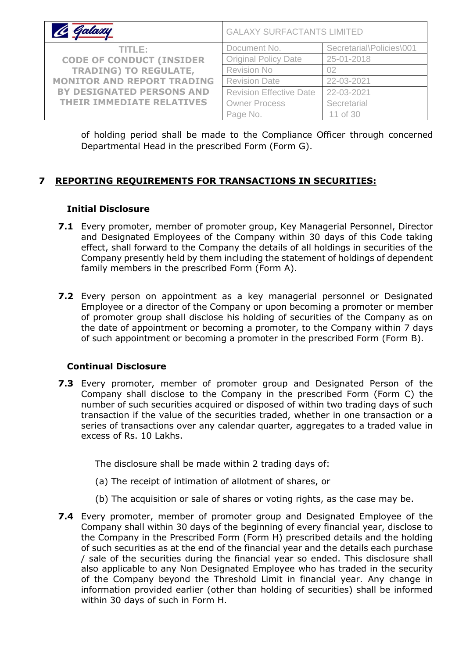| le Galaxy                         | <b>GALAXY SURFACTANTS LIMITED</b> |                          |
|-----------------------------------|-----------------------------------|--------------------------|
| TITLE:                            | Document No.                      | Secretarial\Policies\001 |
| <b>CODE OF CONDUCT (INSIDER</b>   | <b>Original Policy Date</b>       | 25-01-2018               |
| <b>TRADING) TO REGULATE,</b>      | <b>Revision No</b>                | 02                       |
| <b>MONITOR AND REPORT TRADING</b> | <b>Revision Date</b>              | 22-03-2021               |
| <b>BY DESIGNATED PERSONS AND</b>  | <b>Revision Effective Date</b>    | 22-03-2021               |
| <b>THEIR IMMEDIATE RELATIVES</b>  | <b>Owner Process</b>              | Secretarial              |
|                                   | Page No.                          | 11 of 30                 |

of holding period shall be made to the Compliance Officer through concerned Departmental Head in the prescribed Form (Form G).

## **7 REPORTING REQUIREMENTS FOR TRANSACTIONS IN SECURITIES:**

#### **Initial Disclosure**

- **7.1** Every promoter, member of promoter group, Key Managerial Personnel, Director and Designated Employees of the Company within 30 days of this Code taking effect, shall forward to the Company the details of all holdings in securities of the Company presently held by them including the statement of holdings of dependent family members in the prescribed Form (Form A).
- **7.2** Every person on appointment as a key managerial personnel or Designated Employee or a director of the Company or upon becoming a promoter or member of promoter group shall disclose his holding of securities of the Company as on the date of appointment or becoming a promoter, to the Company within 7 days of such appointment or becoming a promoter in the prescribed Form (Form B).

### **Continual Disclosure**

**7.3** Every promoter, member of promoter group and Designated Person of the Company shall disclose to the Company in the prescribed Form (Form C) the number of such securities acquired or disposed of within two trading days of such transaction if the value of the securities traded, whether in one transaction or a series of transactions over any calendar quarter, aggregates to a traded value in excess of Rs. 10 Lakhs.

The disclosure shall be made within 2 trading days of:

- (a) The receipt of intimation of allotment of shares, or
- (b) The acquisition or sale of shares or voting rights, as the case may be.
- **7.4** Every promoter, member of promoter group and Designated Employee of the Company shall within 30 days of the beginning of every financial year, disclose to the Company in the Prescribed Form (Form H) prescribed details and the holding of such securities as at the end of the financial year and the details each purchase / sale of the securities during the financial year so ended. This disclosure shall also applicable to any Non Designated Employee who has traded in the security of the Company beyond the Threshold Limit in financial year. Any change in information provided earlier (other than holding of securities) shall be informed within 30 days of such in Form H.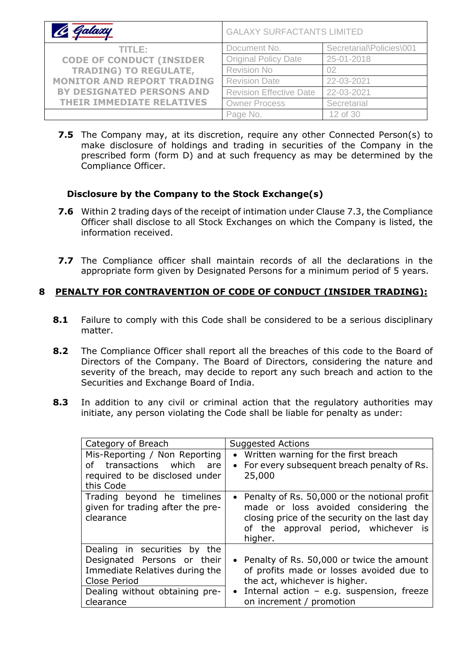| C Galaxy                          | <b>GALAXY SURFACTANTS LIMITED</b> |                          |  |
|-----------------------------------|-----------------------------------|--------------------------|--|
| TITLE:                            | Document No.                      | Secretarial\Policies\001 |  |
| <b>CODE OF CONDUCT (INSIDER</b>   | <b>Original Policy Date</b>       | 25-01-2018               |  |
| <b>TRADING) TO REGULATE,</b>      | <b>Revision No</b>                | 02                       |  |
| <b>MONITOR AND REPORT TRADING</b> | <b>Revision Date</b>              | 22-03-2021               |  |
| BY DESIGNATED PERSONS AND         | <b>Revision Effective Date</b>    | 22-03-2021               |  |
| <b>THEIR IMMEDIATE RELATIVES</b>  | <b>Owner Process</b>              | Secretarial              |  |
|                                   | Page No.                          | 12 of 30                 |  |

**7.5** The Company may, at its discretion, require any other Connected Person(s) to make disclosure of holdings and trading in securities of the Company in the prescribed form (form D) and at such frequency as may be determined by the Compliance Officer.

#### **Disclosure by the Company to the Stock Exchange(s)**

- **7.6** Within 2 trading days of the receipt of intimation under Clause 7.3, the Compliance Officer shall disclose to all Stock Exchanges on which the Company is listed, the information received.
- **7.7** The Compliance officer shall maintain records of all the declarations in the appropriate form given by Designated Persons for a minimum period of 5 years.

### **8 PENALTY FOR CONTRAVENTION OF CODE OF CONDUCT (INSIDER TRADING):**

- **8.1** Failure to comply with this Code shall be considered to be a serious disciplinary matter.
- **8.2** The Compliance Officer shall report all the breaches of this code to the Board of Directors of the Company. The Board of Directors, considering the nature and severity of the breach, may decide to report any such breach and action to the Securities and Exchange Board of India.
- **8.3** In addition to any civil or criminal action that the regulatory authorities may initiate, any person violating the Code shall be liable for penalty as under:

| Category of Breach                                                           | <b>Suggested Actions</b>                                                                                                                                                                   |
|------------------------------------------------------------------------------|--------------------------------------------------------------------------------------------------------------------------------------------------------------------------------------------|
| Mis-Reporting / Non Reporting                                                | Written warning for the first breach                                                                                                                                                       |
| of transactions which                                                        | $\bullet$                                                                                                                                                                                  |
| are                                                                          | For every subsequent breach penalty of Rs.                                                                                                                                                 |
| required to be disclosed under                                               | $\bullet$                                                                                                                                                                                  |
| this Code                                                                    | 25,000                                                                                                                                                                                     |
| Trading beyond he timelines<br>given for trading after the pre-<br>clearance | • Penalty of Rs. 50,000 or the notional profit<br>made or loss avoided considering the<br>closing price of the security on the last day<br>of the approval period, whichever is<br>higher. |
| Dealing in securities by the                                                 | • Penalty of Rs. 50,000 or twice the amount                                                                                                                                                |
| Designated Persons or their                                                  | of profits made or losses avoided due to                                                                                                                                                   |
| Immediate Relatives during the                                               | the act, whichever is higher.                                                                                                                                                              |
| Close Period                                                                 | Internal action $-$ e.g. suspension, freeze                                                                                                                                                |
| Dealing without obtaining pre-                                               | $\bullet$                                                                                                                                                                                  |
| clearance                                                                    | on increment / promotion                                                                                                                                                                   |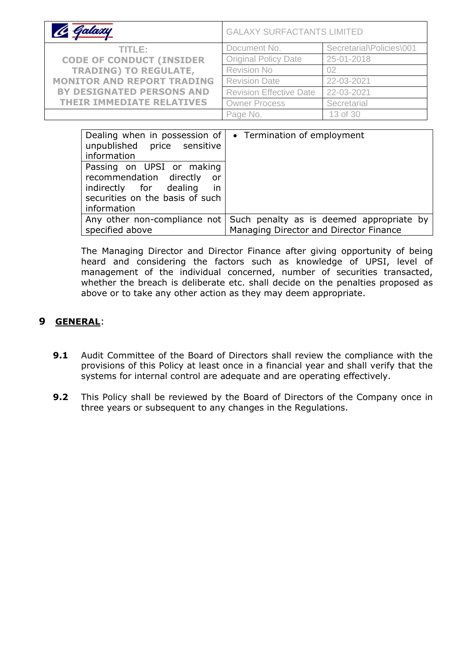| C Galaxy                          | <b>GALAXY SURFACTANTS LIMITED</b> |                          |  |
|-----------------------------------|-----------------------------------|--------------------------|--|
| TITLE:                            | Document No.                      | Secretarial\Policies\001 |  |
| <b>CODE OF CONDUCT (INSIDER</b>   | <b>Original Policy Date</b>       | 25-01-2018               |  |
| <b>TRADING) TO REGULATE,</b>      | Revision No                       | 02                       |  |
| <b>MONITOR AND REPORT TRADING</b> | <b>Revision Date</b>              | 22-03-2021               |  |
| <b>BY DESIGNATED PERSONS AND</b>  | <b>Revision Effective Date</b>    | 22-03-2021               |  |
| <b>THEIR IMMEDIATE RELATIVES</b>  | <b>Owner Process</b>              | Secretarial              |  |
|                                   | Page No.                          | 13 of 30                 |  |

| Dealing when in possession of<br>unpublished price sensitive<br>information                                                                    | • Termination of employment                                                                                     |
|------------------------------------------------------------------------------------------------------------------------------------------------|-----------------------------------------------------------------------------------------------------------------|
| Passing on UPSI or making<br>recommendation directly<br>or -<br>in<br>indirectly for dealing<br>securities on the basis of such<br>information |                                                                                                                 |
| specified above                                                                                                                                | Any other non-compliance not Such penalty as is deemed appropriate by<br>Managing Director and Director Finance |

The Managing Director and Director Finance after giving opportunity of being heard and considering the factors such as knowledge of UPSI, level of management of the individual concerned, number of securities transacted, whether the breach is deliberate etc. shall decide on the penalties proposed as above or to take any other action as they may deem appropriate.

## **9 GENERAL**:

- **9.1** Audit Committee of the Board of Directors shall review the compliance with the provisions of this Policy at least once in a financial year and shall verify that the systems for internal control are adequate and are operating effectively.
- **9.2** This Policy shall be reviewed by the Board of Directors of the Company once in three years or subsequent to any changes in the Regulations.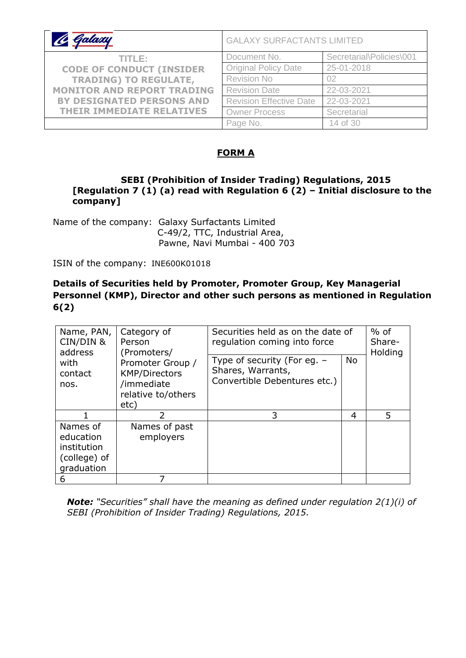| le Galaxy                         | <b>GALAXY SURFACTANTS LIMITED</b> |                          |  |
|-----------------------------------|-----------------------------------|--------------------------|--|
| TITLE:                            | Document No.                      | Secretarial\Policies\001 |  |
| <b>CODE OF CONDUCT (INSIDER</b>   | <b>Original Policy Date</b>       | 25-01-2018               |  |
| <b>TRADING) TO REGULATE,</b>      | <b>Revision No</b>                | 02                       |  |
| <b>MONITOR AND REPORT TRADING</b> | <b>Revision Date</b>              | 22-03-2021               |  |
| <b>BY DESIGNATED PERSONS AND</b>  | <b>Revision Effective Date</b>    | 22-03-2021               |  |
| <b>THEIR IMMEDIATE RELATIVES</b>  | <b>Owner Process</b>              | Secretarial              |  |
|                                   | Page No.                          | 14 of 30                 |  |

### **FORM A**

#### **SEBI (Prohibition of Insider Trading) Regulations, 2015 [Regulation 7 (1) (a) read with Regulation 6 (2) – Initial disclosure to the company]**

Name of the company: Galaxy Surfactants Limited C-49/2, TTC, Industrial Area, Pawne, Navi Mumbai - 400 703

ISIN of the company: INE600K01018

### **Details of Securities held by Promoter, Promoter Group, Key Managerial Personnel (KMP), Director and other such persons as mentioned in Regulation 6(2)**

| Name, PAN,<br>Category of<br>CIN/DIN &<br>Person<br>address<br>(Promoters/ | Securities held as on the date of<br>regulation coming into force                    |                                                                                  | $%$ of<br>Share-<br>Holding |   |
|----------------------------------------------------------------------------|--------------------------------------------------------------------------------------|----------------------------------------------------------------------------------|-----------------------------|---|
| with<br>contact<br>nos.                                                    | Promoter Group /<br><b>KMP/Directors</b><br>/immediate<br>relative to/others<br>etc) | Type of security (For eq. -<br>Shares, Warrants,<br>Convertible Debentures etc.) | <b>No</b>                   |   |
|                                                                            | 2                                                                                    | 3                                                                                | 4                           | 5 |
| Names of<br>education<br>institution<br>(college) of<br>graduation         | Names of past<br>employers                                                           |                                                                                  |                             |   |
| 6                                                                          |                                                                                      |                                                                                  |                             |   |

*Note: "Securities" shall have the meaning as defined under regulation 2(1)(i) of SEBI (Prohibition of Insider Trading) Regulations, 2015.*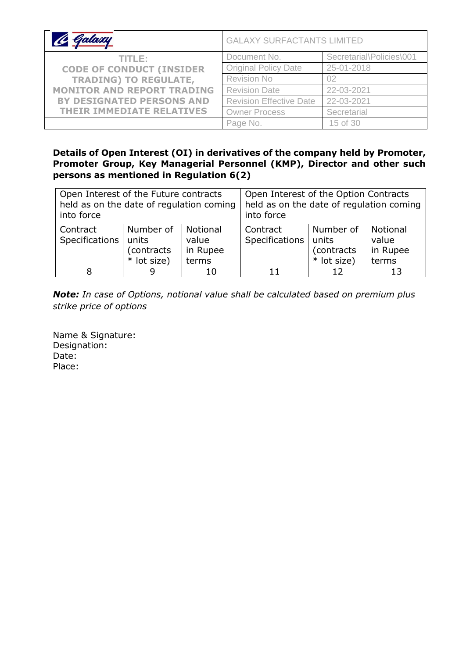| 16 Galaxy                         | <b>GALAXY SURFACTANTS LIMITED</b> |                          |  |
|-----------------------------------|-----------------------------------|--------------------------|--|
| TITLE:                            | Document No.                      | Secretarial\Policies\001 |  |
| <b>CODE OF CONDUCT (INSIDER</b>   | <b>Original Policy Date</b>       | 25-01-2018               |  |
| <b>TRADING) TO REGULATE,</b>      | <b>Revision No</b>                | 02                       |  |
| <b>MONITOR AND REPORT TRADING</b> | <b>Revision Date</b>              | 22-03-2021               |  |
| <b>BY DESIGNATED PERSONS AND</b>  | <b>Revision Effective Date</b>    | 22-03-2021               |  |
| THEIR IMMEDIATE RELATIVES         | <b>Owner Process</b>              | Secretarial              |  |
|                                   | Page No.                          | 15 of 30                 |  |

### **Details of Open Interest (OI) in derivatives of the company held by Promoter, Promoter Group, Key Managerial Personnel (KMP), Director and other such persons as mentioned in Regulation 6(2)**

| Open Interest of the Future contracts<br>held as on the date of regulation coming<br>into force |                                                  | Open Interest of the Option Contracts<br>held as on the date of regulation coming<br>into force |                                                                                                                         |  |  |
|-------------------------------------------------------------------------------------------------|--------------------------------------------------|-------------------------------------------------------------------------------------------------|-------------------------------------------------------------------------------------------------------------------------|--|--|
| Contract<br>Specifications                                                                      | Number of<br>units<br>(contracts)<br>* lot size) | Notional<br>value<br>in Rupee<br>terms                                                          | Number of<br>Notional<br>Contract<br>Specifications<br>units<br>value<br>(contracts<br>in Rupee<br>* lot size)<br>terms |  |  |
|                                                                                                 | 9                                                |                                                                                                 |                                                                                                                         |  |  |

*Note: In case of Options, notional value shall be calculated based on premium plus strike price of options*

Name & Signature: Designation: Date: Place: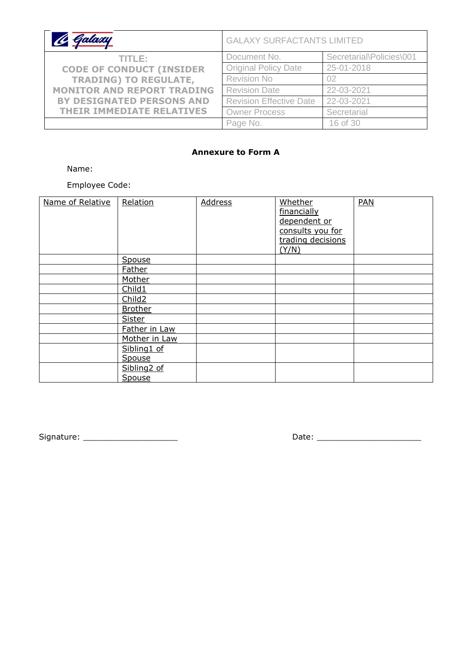| le Galaxy                         | <b>GALAXY SURFACTANTS LIMITED</b> |                          |  |
|-----------------------------------|-----------------------------------|--------------------------|--|
| TITLE:                            | Document No.                      | Secretarial\Policies\001 |  |
| <b>CODE OF CONDUCT (INSIDER</b>   | <b>Original Policy Date</b>       | 25-01-2018               |  |
| <b>TRADING) TO REGULATE,</b>      | <b>Revision No</b>                | 02                       |  |
| <b>MONITOR AND REPORT TRADING</b> | <b>Revision Date</b>              | 22-03-2021               |  |
| BY DESIGNATED PERSONS AND         | <b>Revision Effective Date</b>    | 22-03-2021               |  |
| <b>THEIR IMMEDIATE RELATIVES</b>  | <b>Owner Process</b>              | Secretarial              |  |
|                                   | Page No.                          | 16 of 30                 |  |

#### **Annexure to Form A**

Name:

Employee Code:

| Name of Relative | Relation                | <b>Address</b> | Whether<br>financially<br>dependent or<br>consults you for<br>trading decisions<br>(Y/N) | <b>PAN</b> |
|------------------|-------------------------|----------------|------------------------------------------------------------------------------------------|------------|
|                  | Spouse                  |                |                                                                                          |            |
|                  | <b>Father</b>           |                |                                                                                          |            |
|                  | Mother                  |                |                                                                                          |            |
|                  | Child1                  |                |                                                                                          |            |
|                  | Child <sub>2</sub>      |                |                                                                                          |            |
|                  | <b>Brother</b>          |                |                                                                                          |            |
|                  | <b>Sister</b>           |                |                                                                                          |            |
|                  | Father in Law           |                |                                                                                          |            |
|                  | Mother in Law           |                |                                                                                          |            |
|                  | Sibling1 of             |                |                                                                                          |            |
|                  | Spouse                  |                |                                                                                          |            |
|                  | Sibling <sub>2</sub> of |                |                                                                                          |            |
|                  | Spouse                  |                |                                                                                          |            |

Signature: \_\_\_\_\_\_\_\_\_\_\_\_\_\_\_\_\_\_\_ Date: \_\_\_\_\_\_\_\_\_\_\_\_\_\_\_\_\_\_\_\_\_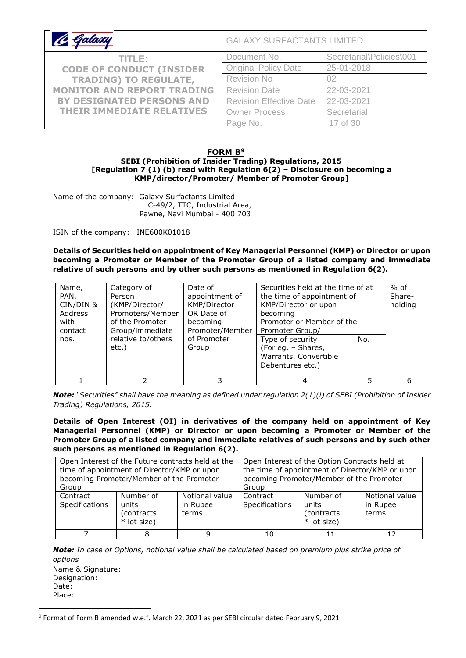| 16 Galaxy                                                       | <b>GALAXY SURFACTANTS LIMITED</b> |                          |  |
|-----------------------------------------------------------------|-----------------------------------|--------------------------|--|
| TITLE:                                                          | Document No.                      | Secretarial\Policies\001 |  |
| <b>CODE OF CONDUCT (INSIDER</b><br><b>TRADING) TO REGULATE,</b> | <b>Original Policy Date</b>       | 25-01-2018               |  |
|                                                                 | <b>Revision No</b>                | 02                       |  |
| <b>MONITOR AND REPORT TRADING</b>                               | <b>Revision Date</b>              | 22-03-2021               |  |
| <b>BY DESIGNATED PERSONS AND</b>                                | <b>Revision Effective Date</b>    | 22-03-2021               |  |
| <b>THEIR IMMEDIATE RELATIVES</b>                                | <b>Owner Process</b>              | Secretarial              |  |
|                                                                 | Page No.                          | 17 of 30                 |  |

#### **FORM B<sup>9</sup>**

#### **SEBI (Prohibition of Insider Trading) Regulations, 2015 [Regulation 7 (1) (b) read with Regulation 6(2) – Disclosure on becoming a KMP/director/Promoter/ Member of Promoter Group]**

Name of the company: Galaxy Surfactants Limited C-49/2, TTC, Industrial Area, Pawne, Navi Mumbai - 400 703

ISIN of the company: INE600K01018

**Details of Securities held on appointment of Key Managerial Personnel (KMP) or Director or upon becoming a Promoter or Member of the Promoter Group of a listed company and immediate relative of such persons and by other such persons as mentioned in Regulation 6(2).**

| Name,<br>PAN,<br>CIN/DIN &<br>Address<br>with<br>contact<br>nos. | Category of<br>Person<br>(KMP/Director/<br>Promoters/Member<br>of the Promoter<br>Group/immediate<br>relative to/others<br>etc.) | Date of<br>appointment of<br>KMP/Director<br>OR Date of<br>becoming<br>Promoter/Member<br>of Promoter<br>Group | Securities held at the time of at<br>the time of appointment of<br>KMP/Director or upon<br>becoming<br>Promoter or Member of the<br>Promoter Group/<br>Type of security<br>(For eg. - Shares,<br>Warrants, Convertible<br>Debentures etc.) | No. | $%$ of<br>Share-<br>holding |
|------------------------------------------------------------------|----------------------------------------------------------------------------------------------------------------------------------|----------------------------------------------------------------------------------------------------------------|--------------------------------------------------------------------------------------------------------------------------------------------------------------------------------------------------------------------------------------------|-----|-----------------------------|
|                                                                  |                                                                                                                                  | 3                                                                                                              |                                                                                                                                                                                                                                            | 5   | 6                           |

*Note: "Securities" shall have the meaning as defined under regulation 2(1)(i) of SEBI (Prohibition of Insider Trading) Regulations, 2015.*

**Details of Open Interest (OI) in derivatives of the company held on appointment of Key Managerial Personnel (KMP) or Director or upon becoming a Promoter or Member of the Promoter Group of a listed company and immediate relatives of such persons and by such other such persons as mentioned in Regulation 6(2).**

|                            | Open Interest of the Future contracts held at the<br>time of appointment of Director/KMP or upon<br>becoming Promoter/Member of the Promoter |                                     |                            | Open Interest of the Option Contracts held at<br>the time of appointment of Director/KMP or upon<br>becoming Promoter/Member of the Promoter |                                     |
|----------------------------|----------------------------------------------------------------------------------------------------------------------------------------------|-------------------------------------|----------------------------|----------------------------------------------------------------------------------------------------------------------------------------------|-------------------------------------|
| Group                      |                                                                                                                                              |                                     | Group                      |                                                                                                                                              |                                     |
| Contract<br>Specifications | Number of<br>units<br>(contracts<br>* lot size)                                                                                              | Notional value<br>in Rupee<br>terms | Contract<br>Specifications | Number of<br>units<br>(contracts<br>* lot size)                                                                                              | Notional value<br>in Rupee<br>terms |
|                            |                                                                                                                                              |                                     |                            |                                                                                                                                              | 12                                  |

*Note: In case of Options, notional value shall be calculated based on premium plus strike price of options*

Name & Signature: Designation: Date: Place:

<sup>9</sup> Format of Form B amended w.e.f. March 22, 2021 as per SEBI circular dated February 9, 2021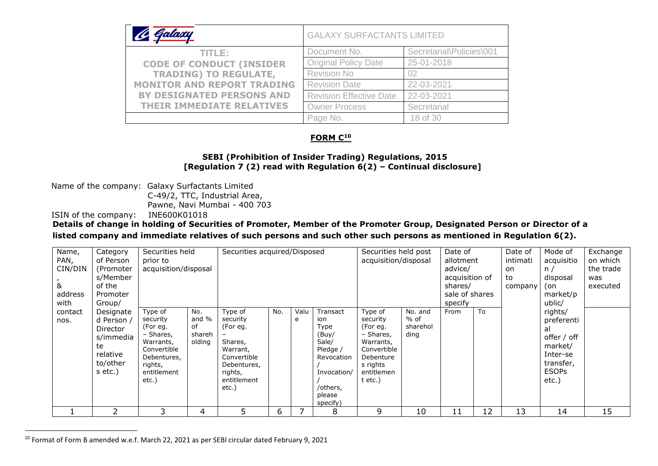| <u>A Galaxy</u>                   | <b>GALAXY SURFACTANTS LIMITED</b> |                          |  |  |  |
|-----------------------------------|-----------------------------------|--------------------------|--|--|--|
| TITLE:                            | Document No.                      | Secretarial\Policies\001 |  |  |  |
| <b>CODE OF CONDUCT (INSIDER</b>   | <b>Original Policy Date</b>       | 25-01-2018               |  |  |  |
| <b>TRADING) TO REGULATE,</b>      | Revision No                       | 02                       |  |  |  |
| <b>MONITOR AND REPORT TRADING</b> | <b>Revision Date</b>              | 22-03-2021               |  |  |  |
| <b>BY DESIGNATED PERSONS AND</b>  | <b>Revision Effective Date</b>    | 22-03-2021               |  |  |  |
| <b>THEIR IMMEDIATE RELATIVES</b>  | <b>Owner Process</b>              | Secretarial              |  |  |  |
|                                   | Page No.                          | 18 of 30                 |  |  |  |

#### **FORM C<sup>10</sup>**

#### **SEBI (Prohibition of Insider Trading) Regulations, 2015 [Regulation 7 (2) read with Regulation 6(2) – Continual disclosure]**

Name of the company: Galaxy Surfactants Limited

C-49/2, TTC, Industrial Area,

Pawne, Navi Mumbai - 400 703

ISIN of the company: INE600K01018

**Details of change in holding of Securities of Promoter, Member of the Promoter Group, Designated Person or Director of a** 

**listed company and immediate relatives of such persons and such other such persons as mentioned in Regulation 6(2).**

| Name,<br>PAN,<br>CIN/DIN<br>&<br>address | Category<br>of Person<br>(Promoter<br>s/Member<br>of the<br>Promoter                                | Securities held<br>prior to<br>acquisition/disposal                                                                        |                                        | Securities acquired/Disposed                                                                                            |     |           |                                                                                                                      | Securities held post<br>acquisition/disposal                                                                                 |                                     | Date of<br>allotment<br>advice/<br>acquisition of<br>shares/<br>sale of shares |    | Date of<br>intimati<br>on<br>to<br>company | Mode of<br>acquisitio<br>n/<br>disposal<br>(on<br>market/p                                                           | Exchange<br>on which<br>the trade<br>was<br>executed |
|------------------------------------------|-----------------------------------------------------------------------------------------------------|----------------------------------------------------------------------------------------------------------------------------|----------------------------------------|-------------------------------------------------------------------------------------------------------------------------|-----|-----------|----------------------------------------------------------------------------------------------------------------------|------------------------------------------------------------------------------------------------------------------------------|-------------------------------------|--------------------------------------------------------------------------------|----|--------------------------------------------|----------------------------------------------------------------------------------------------------------------------|------------------------------------------------------|
| with<br>contact<br>nos.                  | Group/<br>Designate<br>d Person /<br>Director<br>s/immedia<br>te<br>relative<br>to/other<br>s etc.) | Type of<br>security<br>(For eg.<br>– Shares,<br>Warrants,<br>Convertible<br>Debentures,<br>rights,<br>entitlement<br>etc.) | No.<br>and %<br>of<br>shareh<br>olding | Type of<br>security<br>(For eg.<br>Shares,<br>Warrant,<br>Convertible<br>Debentures,<br>rights,<br>entitlement<br>etc.) | No. | Valu<br>e | Transact<br>ion<br>Type<br>(Buy/<br>Sale/<br>Pledge /<br>Revocation<br>Invocation/<br>/others,<br>please<br>specify) | Type of<br>security<br>(For eg.<br>- Shares,<br>Warrants,<br>Convertible<br>Debenture<br>s rights<br>entitlemen<br>$t$ etc.) | No. and<br>% of<br>sharehol<br>ding | specify<br>From                                                                | To |                                            | ublic/<br>rights/<br>preferenti<br>al<br>offer / off<br>market/<br>Inter-se<br>transfer,<br><b>ESOPs</b><br>$etc.$ ) |                                                      |
|                                          |                                                                                                     | 3                                                                                                                          | 4                                      | 5                                                                                                                       | 6   |           | 8                                                                                                                    | 9                                                                                                                            | 10                                  | 11                                                                             | 12 | 13                                         | 14                                                                                                                   | 15                                                   |

<sup>10</sup> Format of Form B amended w.e.f. March 22, 2021 as per SEBI circular dated February 9, 2021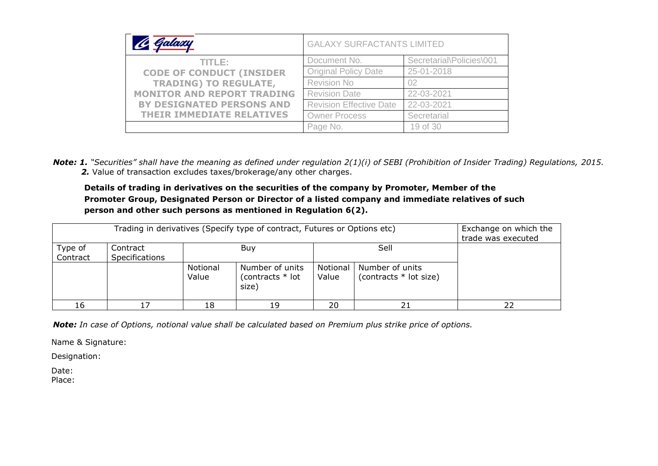| Galaxy                            | <b>GALAXY SURFACTANTS LIMITED</b> |                          |  |  |  |
|-----------------------------------|-----------------------------------|--------------------------|--|--|--|
| TITLE:                            | Document No.                      | Secretarial\Policies\001 |  |  |  |
| <b>CODE OF CONDUCT (INSIDER</b>   | <b>Original Policy Date</b>       | 25-01-2018               |  |  |  |
| <b>TRADING) TO REGULATE,</b>      | <b>Revision No</b>                | 02                       |  |  |  |
| <b>MONITOR AND REPORT TRADING</b> | <b>Revision Date</b>              | 22-03-2021               |  |  |  |
| BY DESIGNATED PERSONS AND         | <b>Revision Effective Date</b>    | 22-03-2021               |  |  |  |
| <b>THEIR IMMEDIATE RELATIVES</b>  | <b>Owner Process</b>              | Secretarial              |  |  |  |
|                                   | Page No.                          | 19 of 30                 |  |  |  |

*Note: 1. "Securities" shall have the meaning as defined under regulation 2(1)(i) of SEBI (Prohibition of Insider Trading) Regulations, 2015. 2.* Value of transaction excludes taxes/brokerage/any other charges.

#### **Details of trading in derivatives on the securities of the company by Promoter, Member of the Promoter Group, Designated Person or Director of a listed company and immediate relatives of such person and other such persons as mentioned in Regulation 6(2).**

|                     | Trading in derivatives (Specify type of contract, Futures or Options etc)                                                               |    |  |  |  |  |  |  |  |  |  |  |
|---------------------|-----------------------------------------------------------------------------------------------------------------------------------------|----|--|--|--|--|--|--|--|--|--|--|
| Type of<br>Contract | Sell<br>Contract<br>Buy<br><b>Specifications</b>                                                                                        |    |  |  |  |  |  |  |  |  |  |  |
|                     | Notional<br>Number of units<br>Notional<br>Number of units<br>(contracts $*$ lot size)<br>(contracts $*$ lot<br>Value<br>Value<br>size) |    |  |  |  |  |  |  |  |  |  |  |
| 16                  |                                                                                                                                         | 18 |  |  |  |  |  |  |  |  |  |  |

*Note: In case of Options, notional value shall be calculated based on Premium plus strike price of options.*

Name & Signature:

Designation:

Date:

Place: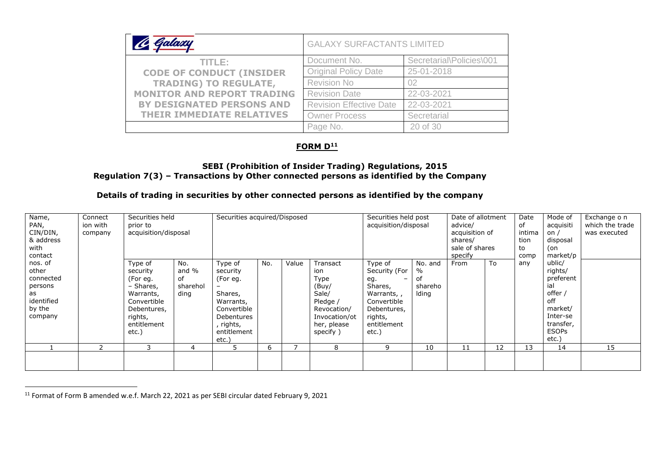| Galaxy                            | <b>GALAXY SURFACTANTS LIMITED</b> |                          |  |  |  |
|-----------------------------------|-----------------------------------|--------------------------|--|--|--|
| TITLE: I                          | Document No.                      | Secretarial\Policies\001 |  |  |  |
| <b>CODE OF CONDUCT (INSIDER</b>   | <b>Original Policy Date</b>       | 25-01-2018               |  |  |  |
| <b>TRADING) TO REGULATE,</b>      | <b>Revision No</b>                | 02                       |  |  |  |
| <b>MONITOR AND REPORT TRADING</b> | <b>Revision Date</b>              | 22-03-2021               |  |  |  |
| <b>BY DESIGNATED PERSONS AND</b>  | <b>Revision Effective Date</b>    | 22-03-2021               |  |  |  |
| <b>THEIR IMMEDIATE RELATIVES</b>  | <b>Owner Process</b>              | Secretarial              |  |  |  |
|                                   | Page No.                          | 20 of 30                 |  |  |  |

### **FORM D<sup>11</sup>**

#### **SEBI (Prohibition of Insider Trading) Regulations, 2015 Regulation 7(3) – Transactions by Other connected persons as identified by the Company**

#### **Details of trading in securities by other connected persons as identified by the company**

| Name,<br>PAN,<br>CIN/DIN,<br>& address<br>with<br>contact                         | Connect<br>ion with<br>company | Securities held<br>prior to<br>acquisition/disposal                                                                        |                                        | Securities acquired/Disposed                                                                                              |     |       |                                                                                                                  | Securities held post<br>acquisition/disposal                                                                              |                                        | Date of allotment<br>advice/<br>acquisition of<br>shares/<br>sale of shares<br>specify |    | Date<br>of<br>intima<br>tion<br>to<br>comp | Mode of<br>acquisiti<br>on /<br>disposal<br>(on<br>market/p                                                          | Exchange o n<br>which the trade<br>was executed |
|-----------------------------------------------------------------------------------|--------------------------------|----------------------------------------------------------------------------------------------------------------------------|----------------------------------------|---------------------------------------------------------------------------------------------------------------------------|-----|-------|------------------------------------------------------------------------------------------------------------------|---------------------------------------------------------------------------------------------------------------------------|----------------------------------------|----------------------------------------------------------------------------------------|----|--------------------------------------------|----------------------------------------------------------------------------------------------------------------------|-------------------------------------------------|
| nos. of<br>other<br>connected<br>persons<br>as<br>identified<br>by the<br>company |                                | Type of<br>security<br>(For eg.<br>- Shares,<br>Warrants,<br>Convertible<br>Debentures,<br>rights,<br>entitlement<br>etc.) | No.<br>and %<br>of<br>sharehol<br>ding | Type of<br>security<br>(For eg.<br>Shares,<br>Warrants,<br>Convertible<br>Debentures<br>, rights,<br>entitlement<br>etc.) | No. | Value | Transact<br>ion<br>Type<br>(Buy/<br>Sale/<br>Pledge /<br>Revocation/<br>Invocation/ot<br>her, please<br>specify) | Type of<br>Security (For<br>eg.<br>Shares,<br>Warrants,,<br>Convertible<br>Debentures,<br>rights,<br>entitlement<br>etc.) | No. and<br>%<br>оf<br>shareho<br>lding | From                                                                                   | To | any                                        | ublic/<br>rights/<br>preferent<br>ial<br>offer /<br>off<br>market/<br>Inter-se<br>transfer,<br><b>ESOPs</b><br>etc.) |                                                 |
|                                                                                   |                                |                                                                                                                            | 4                                      | 5                                                                                                                         | h   |       | 8                                                                                                                | 9                                                                                                                         | 10                                     | 11                                                                                     | 12 | 13                                         | 14                                                                                                                   | 15                                              |
|                                                                                   |                                |                                                                                                                            |                                        |                                                                                                                           |     |       |                                                                                                                  |                                                                                                                           |                                        |                                                                                        |    |                                            |                                                                                                                      |                                                 |

<sup>11</sup> Format of Form B amended w.e.f. March 22, 2021 as per SEBI circular dated February 9, 2021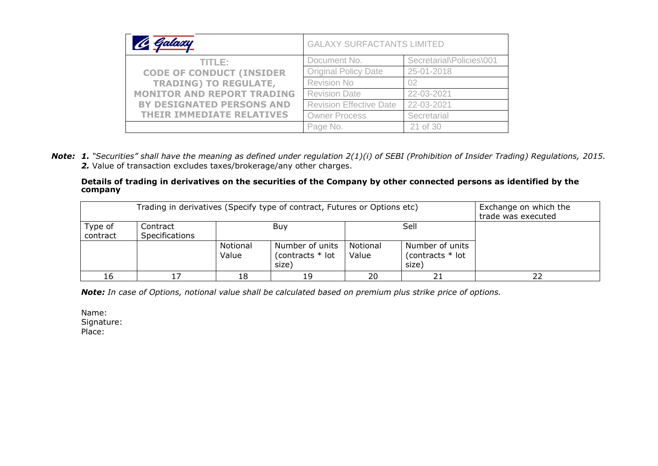| Galaxy                            | <b>GALAXY SURFACTANTS LIMITED</b> |                          |  |  |  |
|-----------------------------------|-----------------------------------|--------------------------|--|--|--|
| TITLE:                            | Document No.                      | Secretarial\Policies\001 |  |  |  |
| <b>CODE OF CONDUCT (INSIDER</b>   | <b>Original Policy Date</b>       | 25-01-2018               |  |  |  |
| <b>TRADING) TO REGULATE,</b>      | <b>Revision No</b>                | 02                       |  |  |  |
| <b>MONITOR AND REPORT TRADING</b> | <b>Revision Date</b>              | 22-03-2021               |  |  |  |
| BY DESIGNATED PERSONS AND         | <b>Revision Effective Date</b>    | 22-03-2021               |  |  |  |
| <b>THEIR IMMEDIATE RELATIVES</b>  | <b>Owner Process</b>              | Secretarial              |  |  |  |
|                                   | Page No.                          | 21 of 30                 |  |  |  |

*Note: 1. "Securities" shall have the meaning as defined under regulation 2(1)(i) of SEBI (Prohibition of Insider Trading) Regulations, 2015. 2.* Value of transaction excludes taxes/brokerage/any other charges.

#### **Details of trading in derivatives on the securities of the Company by other connected persons as identified by the company**

|                     | Trading in derivatives (Specify type of contract, Futures or Options etc) | Exchange on which the<br>trade was executed |
|---------------------|---------------------------------------------------------------------------|---------------------------------------------|
| Type of<br>contract |                                                                           |                                             |
|                     |                                                                           |                                             |
| 16                  |                                                                           |                                             |

*Note: In case of Options, notional value shall be calculated based on premium plus strike price of options.*

Name: Signature: Place: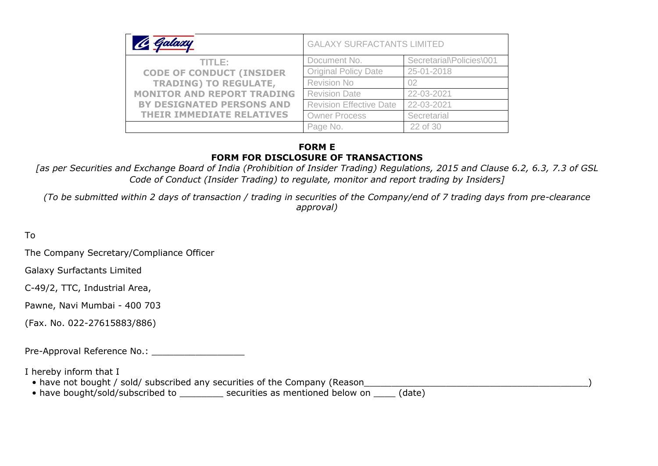|                                   | <b>GALAXY SURFACTANTS LIMITED</b> |                          |  |  |  |
|-----------------------------------|-----------------------------------|--------------------------|--|--|--|
| TITLE: I                          | Document No.                      | Secretarial\Policies\001 |  |  |  |
| <b>CODE OF CONDUCT (INSIDER</b>   | <b>Original Policy Date</b>       | 25-01-2018               |  |  |  |
| <b>TRADING) TO REGULATE,</b>      | <b>Revision No</b>                | 02                       |  |  |  |
| <b>MONITOR AND REPORT TRADING</b> | <b>Revision Date</b>              | 22-03-2021               |  |  |  |
| <b>BY DESIGNATED PERSONS AND</b>  | <b>Revision Effective Date</b>    | 22-03-2021               |  |  |  |
| <b>THEIR IMMEDIATE RELATIVES</b>  | <b>Owner Process</b>              | Secretarial              |  |  |  |
|                                   | Page No.                          | 22 of 30                 |  |  |  |

#### **FORM E FORM FOR DISCLOSURE OF TRANSACTIONS**

*[as per Securities and Exchange Board of India (Prohibition of Insider Trading) Regulations, 2015 and Clause 6.2, 6.3, 7.3 of GSL Code of Conduct (Insider Trading) to regulate, monitor and report trading by Insiders]*

*(To be submitted within 2 days of transaction / trading in securities of the Company/end of 7 trading days from pre-clearance approval)* 

To

The Company Secretary/Compliance Officer

Galaxy Surfactants Limited

C-49/2, TTC, Industrial Area,

Pawne, Navi Mumbai - 400 703

(Fax. No. 022-27615883/886)

Pre-Approval Reference No.: \_\_\_\_\_\_\_\_\_\_\_\_\_\_\_\_\_

I hereby inform that I

- have not bought / sold/ subscribed any securities of the Company (Reason
- have bought/sold/subscribed to entimes as mentioned below on (date)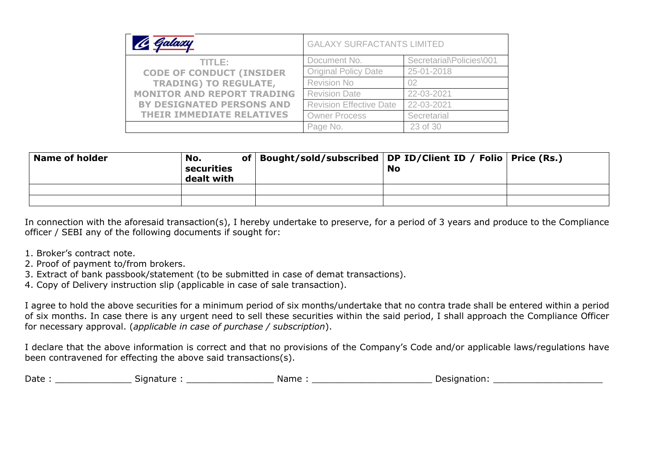| C Galaxy                          | <b>GALAXY SURFACTANTS LIMITED</b> |                          |  |  |  |
|-----------------------------------|-----------------------------------|--------------------------|--|--|--|
| TITLE:                            | Document No.                      | Secretarial\Policies\001 |  |  |  |
| <b>CODE OF CONDUCT (INSIDER</b>   | <b>Original Policy Date</b>       | 25-01-2018               |  |  |  |
| <b>TRADING) TO REGULATE,</b>      | Revision No                       | 02                       |  |  |  |
| <b>MONITOR AND REPORT TRADING</b> | <b>Revision Date</b>              | 22-03-2021               |  |  |  |
| BY DESIGNATED PERSONS AND         | <b>Revision Effective Date</b>    | 22-03-2021               |  |  |  |
| <b>THEIR IMMEDIATE RELATIVES</b>  | <b>Owner Process</b>              | Secretarial              |  |  |  |
|                                   | Page No.                          | 23 of 30                 |  |  |  |

| <b>Name of holder</b> | No.<br>securities<br>dealt with | of   Bought/sold/subscribed   DP ID/Client ID / Folio   Price (Rs.) | <b>No</b> |  |
|-----------------------|---------------------------------|---------------------------------------------------------------------|-----------|--|
|                       |                                 |                                                                     |           |  |
|                       |                                 |                                                                     |           |  |

In connection with the aforesaid transaction(s), I hereby undertake to preserve, for a period of 3 years and produce to the Compliance officer / SEBI any of the following documents if sought for:

- 1. Broker's contract note.
- 2. Proof of payment to/from brokers.
- 3. Extract of bank passbook/statement (to be submitted in case of demat transactions).
- 4. Copy of Delivery instruction slip (applicable in case of sale transaction).

I agree to hold the above securities for a minimum period of six months/undertake that no contra trade shall be entered within a period of six months. In case there is any urgent need to sell these securities within the said period, I shall approach the Compliance Officer for necessary approval. (*applicable in case of purchase / subscription*).

I declare that the above information is correct and that no provisions of the Company's Code and/or applicable laws/regulations have been contravened for effecting the above said transactions(s).

| Date | Signature. | Name | .signation<br>10017 |
|------|------------|------|---------------------|
|      |            |      |                     |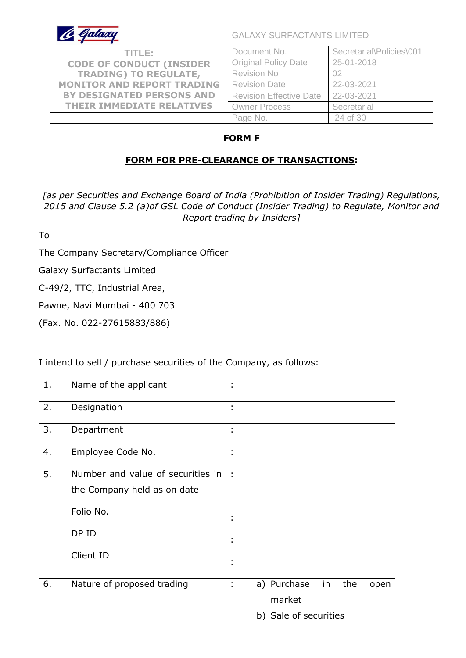| Galaxy                            | <b>GALAXY SURFACTANTS LIMITED</b> |                          |  |
|-----------------------------------|-----------------------------------|--------------------------|--|
| TITLE:                            | Document No.                      | Secretarial\Policies\001 |  |
| <b>CODE OF CONDUCT (INSIDER</b>   | <b>Original Policy Date</b>       | 25-01-2018               |  |
| <b>TRADING) TO REGULATE,</b>      | <b>Revision No</b>                | 02                       |  |
| <b>MONITOR AND REPORT TRADING</b> | <b>Revision Date</b>              | 22-03-2021               |  |
| <b>BY DESIGNATED PERSONS AND</b>  | <b>Revision Effective Date</b>    | 22-03-2021               |  |
| <b>THEIR IMMEDIATE RELATIVES</b>  | <b>Owner Process</b>              | Secretarial              |  |
|                                   | Page No.                          | 24 of 30                 |  |

## **FORM F**

## **FORM FOR PRE-CLEARANCE OF TRANSACTIONS:**

*[as per Securities and Exchange Board of India (Prohibition of Insider Trading) Regulations, 2015 and Clause 5.2 (a)of GSL Code of Conduct (Insider Trading) to Regulate, Monitor and Report trading by Insiders]*

To

The Company Secretary/Compliance Officer

Galaxy Surfactants Limited

C-49/2, TTC, Industrial Area,

Pawne, Navi Mumbai - 400 703

(Fax. No. 022-27615883/886)

| 1. | Name of the applicant             | ٠<br>٠                 |                                  |
|----|-----------------------------------|------------------------|----------------------------------|
| 2. | Designation                       | ٠<br>$\bullet$         |                                  |
| 3. | Department                        | ٠<br>×                 |                                  |
| 4. | Employee Code No.                 | ٠<br>٠                 |                                  |
| 5. | Number and value of securities in | $\bullet$              |                                  |
|    | the Company held as on date       |                        |                                  |
|    | Folio No.                         | ٠                      |                                  |
|    | DP ID                             | ٠<br>٠                 |                                  |
|    | Client ID                         | $\bullet$<br>$\bullet$ |                                  |
| 6. | Nature of proposed trading        | ×<br>٠                 | a) Purchase<br>in<br>the<br>open |
|    |                                   |                        | market                           |
|    |                                   |                        | b) Sale of securities            |

I intend to sell / purchase securities of the Company, as follows: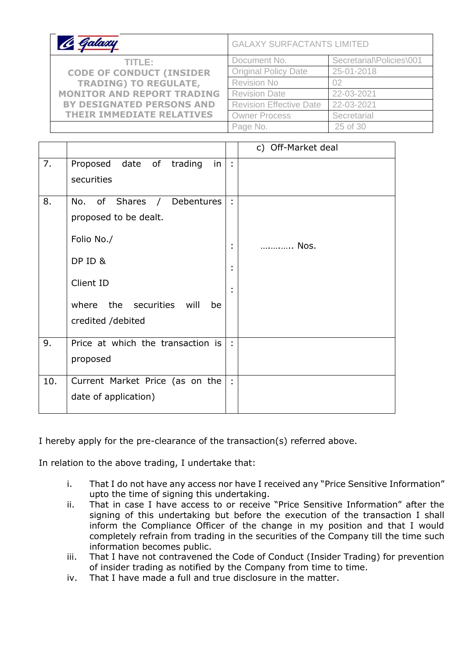| C Galaxy                          | <b>GALAXY SURFACTANTS LIMITED</b> |                          |  |
|-----------------------------------|-----------------------------------|--------------------------|--|
| TITLE:                            | Document No.                      | Secretarial\Policies\001 |  |
| <b>CODE OF CONDUCT (INSIDER</b>   | <b>Original Policy Date</b>       | 25-01-2018               |  |
| <b>TRADING) TO REGULATE,</b>      | <b>Revision No</b>                | 02                       |  |
| <b>MONITOR AND REPORT TRADING</b> | <b>Revision Date</b>              | 22-03-2021               |  |
| <b>BY DESIGNATED PERSONS AND</b>  | <b>Revision Effective Date</b>    | 22-03-2021               |  |
| <b>THEIR IMMEDIATE RELATIVES</b>  | <b>Owner Process</b>              | Secretarial              |  |
|                                   | Page No.                          | 25 of 30                 |  |

|     |                                                                                                                                                                  |                            | c) Off-Market deal |
|-----|------------------------------------------------------------------------------------------------------------------------------------------------------------------|----------------------------|--------------------|
| 7.  | Proposed date of trading<br>in<br>securities                                                                                                                     | ÷,                         |                    |
| 8.  | No. of Shares<br>Debentures<br>$\sqrt{2}$<br>proposed to be dealt.<br>Folio No./<br>DP ID &<br>Client ID<br>where the securities will<br>be<br>credited /debited | ÷<br>t<br>٠<br>٠<br>٠<br>٠ | Nos.               |
| 9.  | Price at which the transaction is<br>proposed                                                                                                                    | $\mathbb{R}$               |                    |
| 10. | Current Market Price (as on the<br>date of application)                                                                                                          | $\ddot{\phantom{a}}$       |                    |

I hereby apply for the pre-clearance of the transaction(s) referred above.

In relation to the above trading, I undertake that:

- i. That I do not have any access nor have I received any "Price Sensitive Information" upto the time of signing this undertaking.
- ii. That in case I have access to or receive "Price Sensitive Information" after the signing of this undertaking but before the execution of the transaction I shall inform the Compliance Officer of the change in my position and that I would completely refrain from trading in the securities of the Company till the time such information becomes public.
- iii. That I have not contravened the Code of Conduct (Insider Trading) for prevention of insider trading as notified by the Company from time to time.
- iv. That I have made a full and true disclosure in the matter.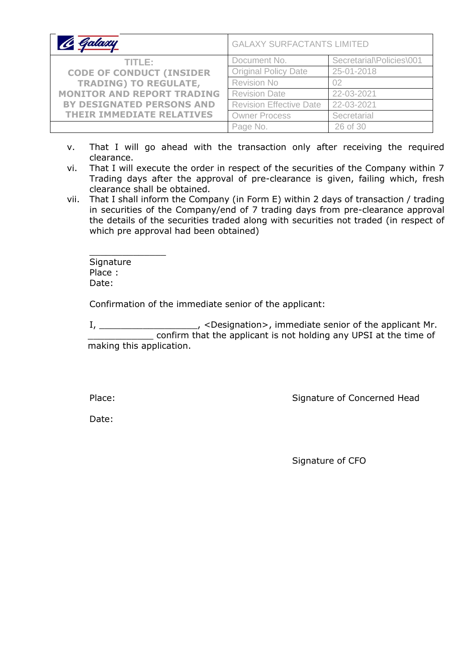|                                   | <b>GALAXY SURFACTANTS LIMITED</b> |                          |  |
|-----------------------------------|-----------------------------------|--------------------------|--|
| TITLE:                            | Document No.                      | Secretarial\Policies\001 |  |
| <b>CODE OF CONDUCT (INSIDER</b>   | <b>Original Policy Date</b>       | 25-01-2018               |  |
| <b>TRADING) TO REGULATE,</b>      | <b>Revision No</b>                | 02                       |  |
| <b>MONITOR AND REPORT TRADING</b> | <b>Revision Date</b>              | 22-03-2021               |  |
| <b>BY DESIGNATED PERSONS AND</b>  | <b>Revision Effective Date</b>    | 22-03-2021               |  |
| <b>THEIR IMMEDIATE RELATIVES</b>  | <b>Owner Process</b>              | Secretarial              |  |
|                                   | Page No.                          | 26 of 30                 |  |

- v. That I will go ahead with the transaction only after receiving the required clearance.
- vi. That I will execute the order in respect of the securities of the Company within 7 Trading days after the approval of pre-clearance is given, failing which, fresh clearance shall be obtained.
- vii. That I shall inform the Company (in Form E) within 2 days of transaction / trading in securities of the Company/end of 7 trading days from pre-clearance approval the details of the securities traded along with securities not traded (in respect of which pre approval had been obtained)

\_\_\_\_\_\_\_\_\_\_\_\_\_\_ **Signature** Place : Date:

Confirmation of the immediate senior of the applicant:

I, \_\_\_\_\_\_\_\_\_\_\_\_\_\_\_\_\_\_, <Designation>, immediate senior of the applicant Mr. \_\_\_\_\_\_\_\_\_\_\_\_ confirm that the applicant is not holding any UPSI at the time of making this application.

Place: Place: Signature of Concerned Head

Date:

Signature of CFO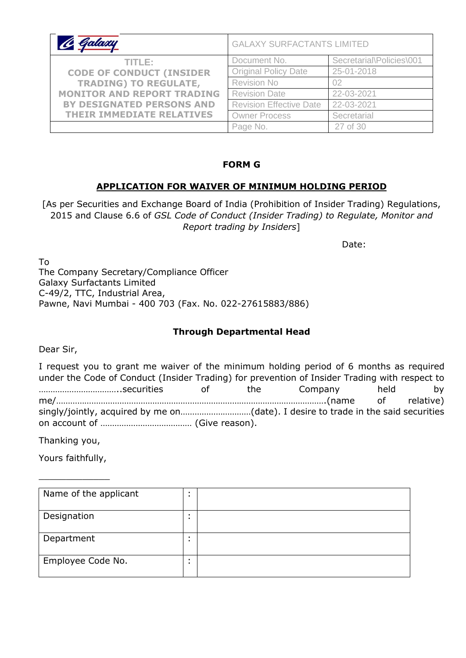| C Galaxy                          | <b>GALAXY SURFACTANTS LIMITED</b> |                          |  |
|-----------------------------------|-----------------------------------|--------------------------|--|
| TITLE:                            | Document No.                      | Secretarial\Policies\001 |  |
| <b>CODE OF CONDUCT (INSIDER</b>   | <b>Original Policy Date</b>       | 25-01-2018               |  |
| <b>TRADING) TO REGULATE,</b>      | <b>Revision No</b>                | 02                       |  |
| <b>MONITOR AND REPORT TRADING</b> | <b>Revision Date</b>              | 22-03-2021               |  |
| <b>BY DESIGNATED PERSONS AND</b>  | <b>Revision Effective Date</b>    | 22-03-2021               |  |
| <b>THEIR IMMEDIATE RELATIVES</b>  | <b>Owner Process</b>              | Secretarial              |  |
|                                   | Page No.                          | 27 of 30                 |  |

#### **FORM G**

### **APPLICATION FOR WAIVER OF MINIMUM HOLDING PERIOD**

[As per Securities and Exchange Board of India (Prohibition of Insider Trading) Regulations, 2015 and Clause 6.6 of *GSL Code of Conduct (Insider Trading) to Regulate, Monitor and Report trading by Insiders*]

Date:

To The Company Secretary/Compliance Officer Galaxy Surfactants Limited C-49/2, TTC, Industrial Area, Pawne, Navi Mumbai - 400 703 (Fax. No. 022-27615883/886)

### **Through Departmental Head**

Dear Sir,

I request you to grant me waiver of the minimum holding period of 6 months as required under the Code of Conduct (Insider Trading) for prevention of Insider Trading with respect to ……………………………..securities of the Company held by me/…………………………………………………………………………………………………….(name of relative) singly/jointly, acquired by me on…………………………(date). I desire to trade in the said securities on account of ………………………………… (Give reason).

Thanking you,

Yours faithfully,

\_\_\_\_\_\_\_\_\_\_\_\_\_

| Name of the applicant | $\blacksquare$<br>$\blacksquare$ |  |
|-----------------------|----------------------------------|--|
| Designation           | $\blacksquare$                   |  |
| Department            | $\blacksquare$<br>$\blacksquare$ |  |
| Employee Code No.     |                                  |  |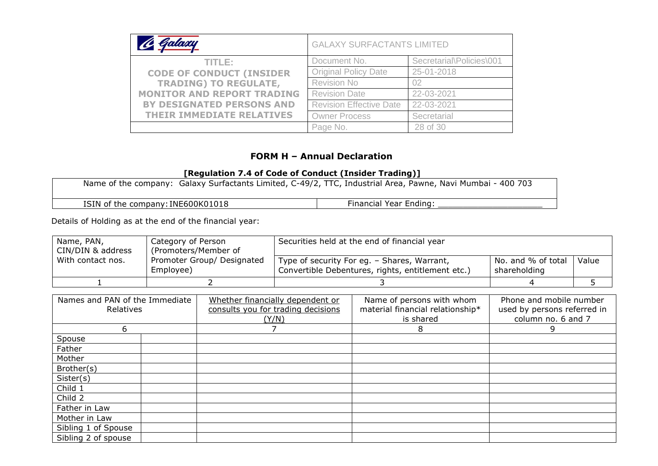| C Galaxy                          | <b>GALAXY SURFACTANTS LIMITED</b> |                          |  |
|-----------------------------------|-----------------------------------|--------------------------|--|
| TITLE:                            | Document No.                      | Secretarial\Policies\001 |  |
| <b>CODE OF CONDUCT (INSIDER</b>   | <b>Original Policy Date</b>       | 25-01-2018               |  |
| <b>TRADING) TO REGULATE,</b>      | <b>Revision No</b>                | 02                       |  |
| <b>MONITOR AND REPORT TRADING</b> | <b>Revision Date</b>              | 22-03-2021               |  |
| BY DESIGNATED PERSONS AND         | <b>Revision Effective Date</b>    | 22-03-2021               |  |
| <b>THEIR IMMEDIATE RELATIVES</b>  | <b>Owner Process</b>              | Secretarial              |  |
|                                   | Page No.                          | 28 of 30                 |  |

#### **FORM H – Annual Declaration**

#### **[Regulation 7.4 of Code of Conduct (Insider Trading)]**

| Name of the company: Galaxy Surfactants Limited, C-49/2, TTC, Industrial Area, Pawne, Navi Mumbai - 400 703 |                        |
|-------------------------------------------------------------------------------------------------------------|------------------------|
| ISIN of the company: INE600K01018                                                                           | Financial Year Ending: |

Details of Holding as at the end of the financial year:

| Name, PAN,<br>CIN/DIN & address | Category of Person<br>(Promoters/Member of | Securities held at the end of financial year                                                     |                                    |       |
|---------------------------------|--------------------------------------------|--------------------------------------------------------------------------------------------------|------------------------------------|-------|
| With contact nos.               | Promoter Group/ Designated<br>Employee)    | Type of security For eg. - Shares, Warrant,<br>Convertible Debentures, rights, entitlement etc.) | No. and % of total<br>shareholding | Value |
|                                 |                                            |                                                                                                  |                                    |       |

| Names and PAN of the Immediate<br>Relatives |  | Whether financially dependent or<br>consults you for trading decisions<br>(Y/N) | Name of persons with whom<br>material financial relationship*<br>is shared | Phone and mobile number<br>used by persons referred in<br>column no. 6 and 7 |  |
|---------------------------------------------|--|---------------------------------------------------------------------------------|----------------------------------------------------------------------------|------------------------------------------------------------------------------|--|
| 6                                           |  |                                                                                 | 8                                                                          | 9                                                                            |  |
| Spouse                                      |  |                                                                                 |                                                                            |                                                                              |  |
| Father                                      |  |                                                                                 |                                                                            |                                                                              |  |
| Mother                                      |  |                                                                                 |                                                                            |                                                                              |  |
| Brother(s)                                  |  |                                                                                 |                                                                            |                                                                              |  |
| Sister(s)                                   |  |                                                                                 |                                                                            |                                                                              |  |
| Child 1                                     |  |                                                                                 |                                                                            |                                                                              |  |
| Child 2                                     |  |                                                                                 |                                                                            |                                                                              |  |
| Father in Law                               |  |                                                                                 |                                                                            |                                                                              |  |
| Mother in Law                               |  |                                                                                 |                                                                            |                                                                              |  |
| Sibling 1 of Spouse                         |  |                                                                                 |                                                                            |                                                                              |  |
| Sibling 2 of spouse                         |  |                                                                                 |                                                                            |                                                                              |  |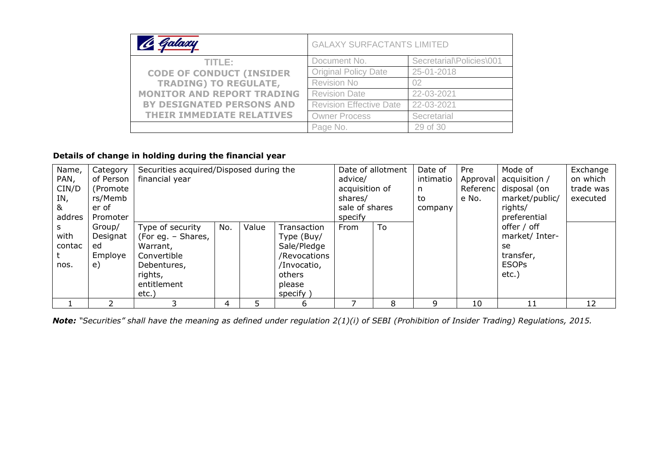| C Galaxy                          |                                | <b>GALAXY SURFACTANTS LIMITED</b>             |  |  |
|-----------------------------------|--------------------------------|-----------------------------------------------|--|--|
| TITLE:                            | Document No.                   | Secretarial\Policies\001                      |  |  |
| <b>CODE OF CONDUCT (INSIDER</b>   | <b>Original Policy Date</b>    | 25-01-2018                                    |  |  |
| <b>TRADING) TO REGULATE,</b>      | Revision No                    | 02<br>22-03-2021<br>22-03-2021<br>Secretarial |  |  |
| <b>MONITOR AND REPORT TRADING</b> | <b>Revision Date</b>           |                                               |  |  |
| BY DESIGNATED PERSONS AND         | <b>Revision Effective Date</b> |                                               |  |  |
| <b>THEIR IMMEDIATE RELATIVES</b>  | <b>Owner Process</b>           |                                               |  |  |
|                                   | Page No.                       | 29 of 30                                      |  |  |

# **Details of change in holding during the financial year**

| Name,  | Category  | Securities acquired/Disposed during the |                |       |              |          | Date of allotment | Date of   | Pre   | Mode of        | Exchange |
|--------|-----------|-----------------------------------------|----------------|-------|--------------|----------|-------------------|-----------|-------|----------------|----------|
| PAN,   | of Person | financial year                          | advice/        |       | intimatio    | Approval | acquisition /     | on which  |       |                |          |
| CIN/D  | (Promote) |                                         | acquisition of |       | n            | Referenc | disposal (on      | trade was |       |                |          |
| IN,    | rs/Memb   |                                         |                |       |              |          |                   | to        | e No. | market/public/ | executed |
| &      | er of     |                                         | sale of shares |       | company      |          | rights/           |           |       |                |          |
| addres | Promoter  |                                         |                |       |              | specify  |                   |           |       | preferential   |          |
|        | Group/    | Type of security                        | No.            | Value | Transaction  | From     | To                |           |       | offer / off    |          |
| with   | Designat  | (For eg. - Shares,                      |                |       | Type (Buy/   |          |                   |           |       | market/ Inter- |          |
| contac | ed        | Warrant,                                |                |       | Sale/Pledge  |          |                   |           |       | se             |          |
|        | Employe   | Convertible                             |                |       | /Revocations |          |                   |           |       | transfer,      |          |
| nos.   | e)        | Debentures,                             |                |       | /Invocatio,  |          |                   |           |       | <b>ESOPs</b>   |          |
|        |           | rights,                                 |                |       | others       |          |                   |           |       | $etc.$ )       |          |
|        |           | entitlement                             |                |       | please       |          |                   |           |       |                |          |
|        |           | etc.)                                   |                |       | specify )    |          |                   |           |       |                |          |
|        |           |                                         |                |       | 6            |          | 8                 | q         | 10    | 11             | 12       |

*Note: "Securities" shall have the meaning as defined under regulation 2(1)(i) of SEBI (Prohibition of Insider Trading) Regulations, 2015.*